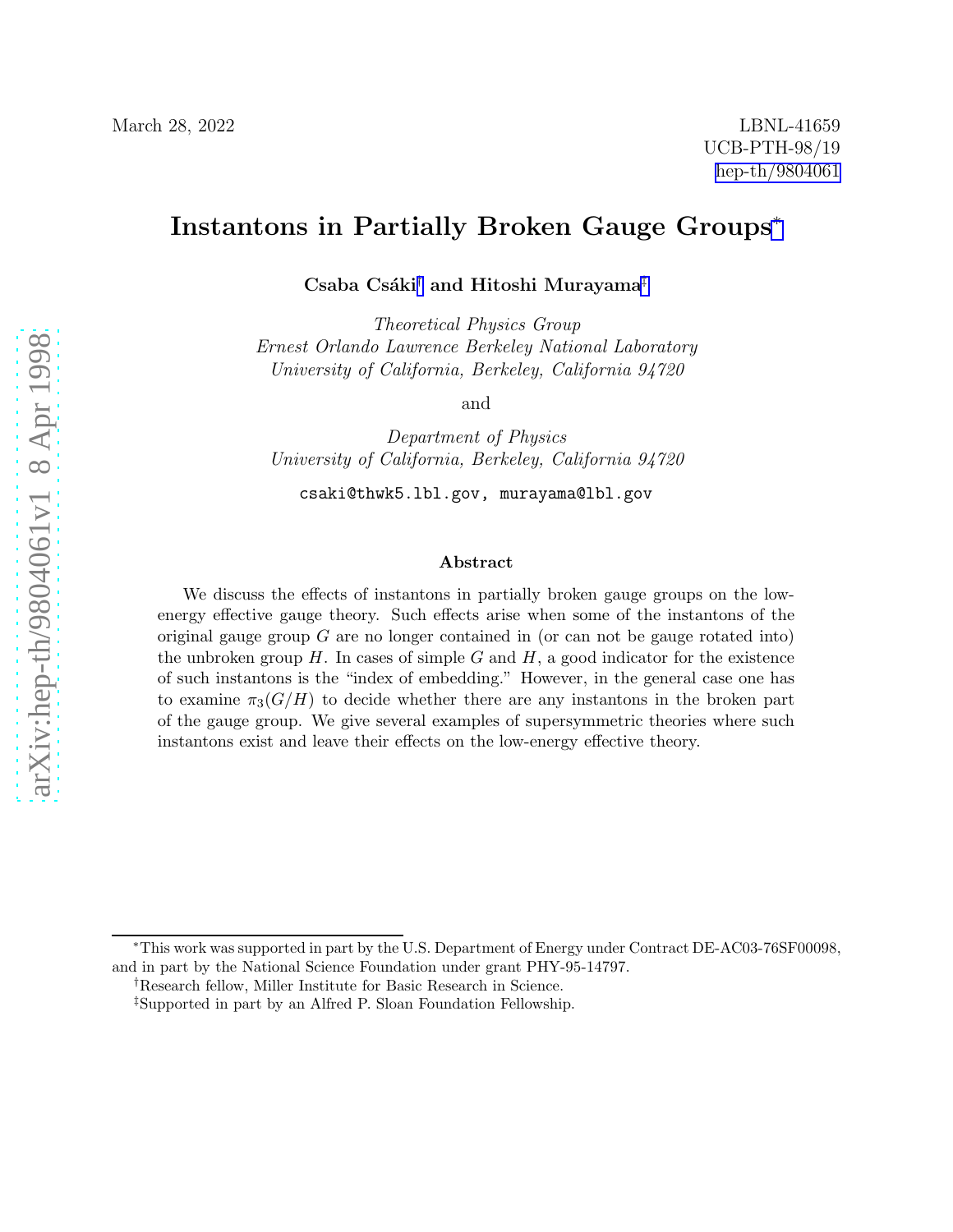## Instantons in Partially Broken Gauge Groups<sup>∗</sup>

Csaba Csáki<sup>†</sup> and Hitoshi Murayama<sup>‡</sup>

Theoretical Physics Group Ernest Orlando Lawrence Berkeley National Laboratory University of California, Berkeley, California 94720

and

Department of Physics University of California, Berkeley, California 94720

csaki@thwk5.lbl.gov, murayama@lbl.gov

#### Abstract

We discuss the effects of instantons in partially broken gauge groups on the lowenergy effective gauge theory. Such effects arise when some of the instantons of the original gauge group  $G$  are no longer contained in (or can not be gauge rotated into) the unbroken group  $H$ . In cases of simple  $G$  and  $H$ , a good indicator for the existence of such instantons is the "index of embedding." However, in the general case one has to examine  $\pi_3(G/H)$  to decide whether there are any instantons in the broken part of the gauge group. We give several examples of supersymmetric theories where such instantons exist and leave their effects on the low-energy effective theory.

<sup>∗</sup>This work was supported in part by the U.S. Department of Energy under Contract DE-AC03-76SF00098, and in part by the National Science Foundation under grant PHY-95-14797.

<sup>†</sup>Research fellow, Miller Institute for Basic Research in Science.

<sup>‡</sup>Supported in part by an Alfred P. Sloan Foundation Fellowship.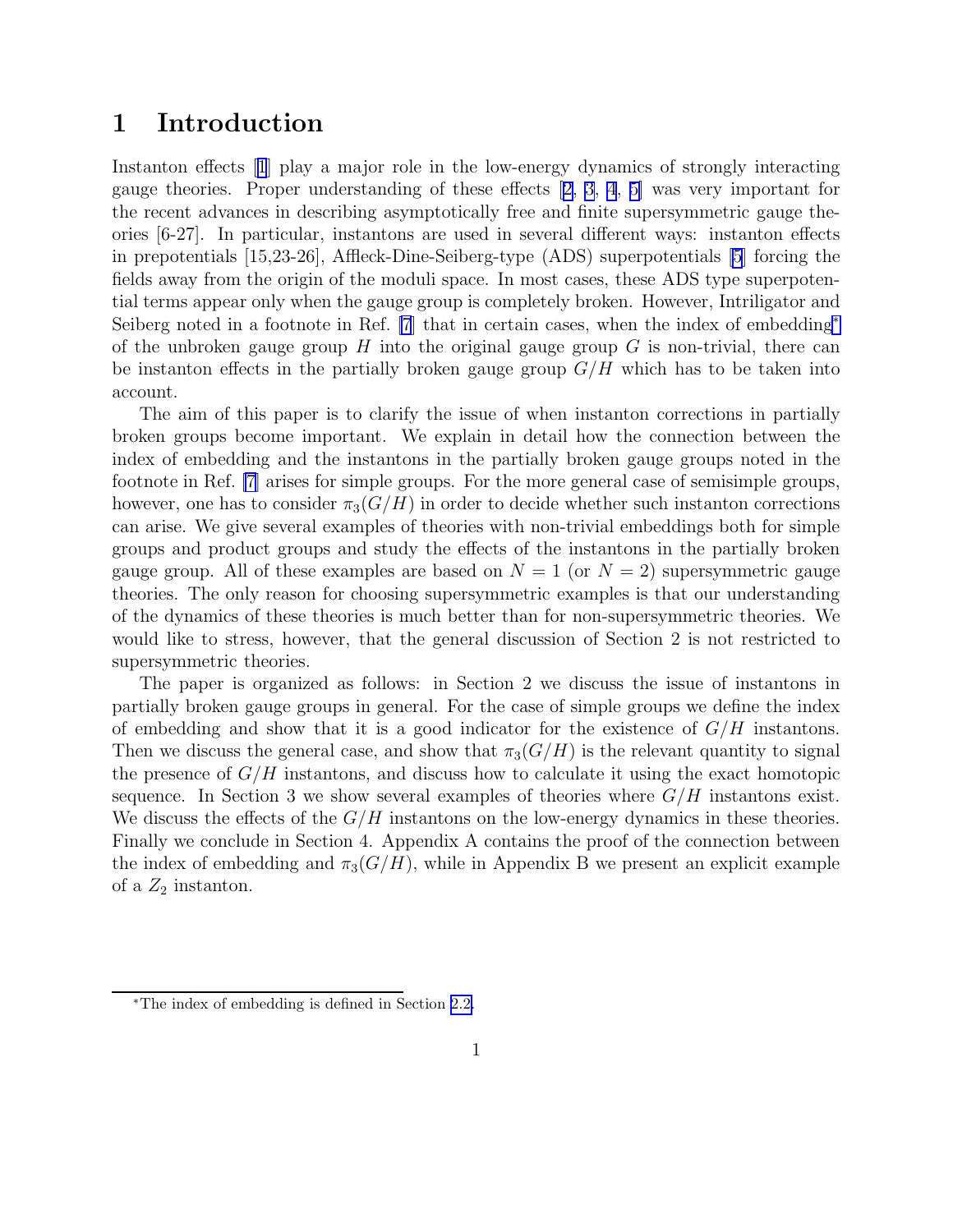## 1 Introduction

Instanton effects[[1](#page-28-0)] play a major role in the low-energy dynamics of strongly interacting gauge theories. Proper understanding of these effects [\[2,](#page-28-0) [3](#page-29-0), [4](#page-29-0), [5\]](#page-29-0) was very important for the recent advances in describing asymptotically free and finite supersymmetric gauge theories [6-27]. In particular, instantons are used in several different ways: instanton effects in prepotentials [15,23-26], Affleck-Dine-Seiberg-type (ADS) superpotentials [\[5\]](#page-29-0) forcing the fields away from the origin of the moduli space. In most cases, these ADS type superpotential terms appear only when the gauge group is completely broken. However, Intriligator and Seiberg noted in a footnote in Ref. [\[7](#page-29-0)] that in certain cases, when the index of embedding<sup>∗</sup> of the unbroken gauge group  $H$  into the original gauge group  $G$  is non-trivial, there can be instanton effects in the partially broken gauge group  $G/H$  which has to be taken into account.

The aim of this paper is to clarify the issue of when instanton corrections in partially broken groups become important. We explain in detail how the connection between the index of embedding and the instantons in the partially broken gauge groups noted in the footnote in Ref. [\[7](#page-29-0)] arises for simple groups. For the more general case of semisimple groups, however, one has to consider  $\pi_3(G/H)$  in order to decide whether such instanton corrections can arise. We give several examples of theories with non-trivial embeddings both for simple groups and product groups and study the effects of the instantons in the partially broken gauge group. All of these examples are based on  $N = 1$  (or  $N = 2$ ) supersymmetric gauge theories. The only reason for choosing supersymmetric examples is that our understanding of the dynamics of these theories is much better than for non-supersymmetric theories. We would like to stress, however, that the general discussion of Section 2 is not restricted to supersymmetric theories.

The paper is organized as follows: in Section 2 we discuss the issue of instantons in partially broken gauge groups in general. For the case of simple groups we define the index of embedding and show that it is a good indicator for the existence of  $G/H$  instantons. Then we discuss the general case, and show that  $\pi_3(G/H)$  is the relevant quantity to signal the presence of  $G/H$  instantons, and discuss how to calculate it using the exact homotopic sequence. In Section 3 we show several examples of theories where  $G/H$  instantons exist. We discuss the effects of the  $G/H$  instantons on the low-energy dynamics in these theories. Finally we conclude in Section 4. Appendix A contains the proof of the connection between the index of embedding and  $\pi_3(G/H)$ , while in Appendix B we present an explicit example of a  $Z_2$  instanton.

<sup>∗</sup>The index of embedding is defined in Section [2.2.](#page-4-0)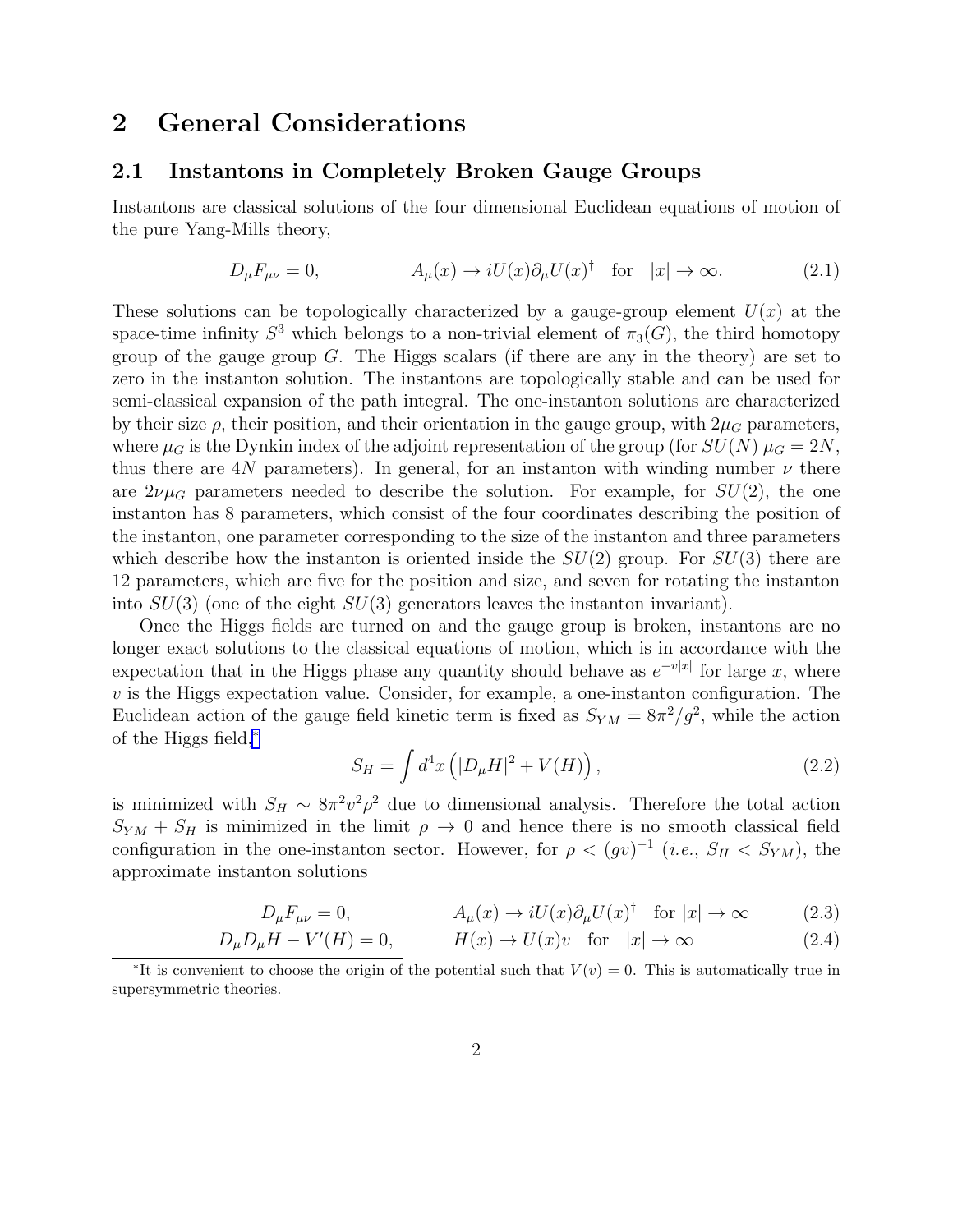## <span id="page-2-0"></span>2 General Considerations

#### 2.1 Instantons in Completely Broken Gauge Groups

Instantons are classical solutions of the four dimensional Euclidean equations of motion of the pure Yang-Mills theory,

$$
D_{\mu}F_{\mu\nu} = 0, \qquad A_{\mu}(x) \to iU(x)\partial_{\mu}U(x)^{\dagger} \quad \text{for} \quad |x| \to \infty. \tag{2.1}
$$

These solutions can be topologically characterized by a gauge-group element  $U(x)$  at the space-time infinity  $S^3$  which belongs to a non-trivial element of  $\pi_3(G)$ , the third homotopy group of the gauge group  $G$ . The Higgs scalars (if there are any in the theory) are set to zero in the instanton solution. The instantons are topologically stable and can be used for semi-classical expansion of the path integral. The one-instanton solutions are characterized by their size  $\rho$ , their position, and their orientation in the gauge group, with  $2\mu$ <sub>G</sub> parameters, where  $\mu_G$  is the Dynkin index of the adjoint representation of the group (for  $SU(N)$   $\mu_G = 2N$ , thus there are 4N parameters). In general, for an instanton with winding number  $\nu$  there are  $2\nu\mu$ <sub>G</sub> parameters needed to describe the solution. For example, for  $SU(2)$ , the one instanton has 8 parameters, which consist of the four coordinates describing the position of the instanton, one parameter corresponding to the size of the instanton and three parameters which describe how the instanton is oriented inside the  $SU(2)$  group. For  $SU(3)$  there are 12 parameters, which are five for the position and size, and seven for rotating the instanton into  $SU(3)$  (one of the eight  $SU(3)$  generators leaves the instanton invariant).

Once the Higgs fields are turned on and the gauge group is broken, instantons are no longer exact solutions to the classical equations of motion, which is in accordance with the expectation that in the Higgs phase any quantity should behave as  $e^{-v|x|}$  for large x, where  $v$  is the Higgs expectation value. Consider, for example, a one-instanton configuration. The Euclidean action of the gauge field kinetic term is fixed as  $S_{YM} = 8\pi^2/g^2$ , while the action of the Higgs field,<sup>∗</sup>

$$
S_H = \int d^4x \left( |D_\mu H|^2 + V(H) \right), \tag{2.2}
$$

is minimized with  $S_H \sim 8\pi^2 v^2 \rho^2$  due to dimensional analysis. Therefore the total action  $S_{YM} + S_H$  is minimized in the limit  $\rho \to 0$  and hence there is no smooth classical field configuration in the one-instanton sector. However, for  $\rho < (gv)^{-1}$  (*i.e.*,  $S_H < S_{YM}$ ), the approximate instanton solutions

$$
D_{\mu}F_{\mu\nu} = 0, \qquad A_{\mu}(x) \to iU(x)\partial_{\mu}U(x)^{\dagger} \quad \text{for } |x| \to \infty \qquad (2.3)
$$

$$
D_{\mu}D_{\mu}H - V'(H) = 0, \qquad H(x) \to U(x)v \quad \text{for} \quad |x| \to \infty \tag{2.4}
$$

<sup>\*</sup>It is convenient to choose the origin of the potential such that  $V(v) = 0$ . This is automatically true in supersymmetric theories.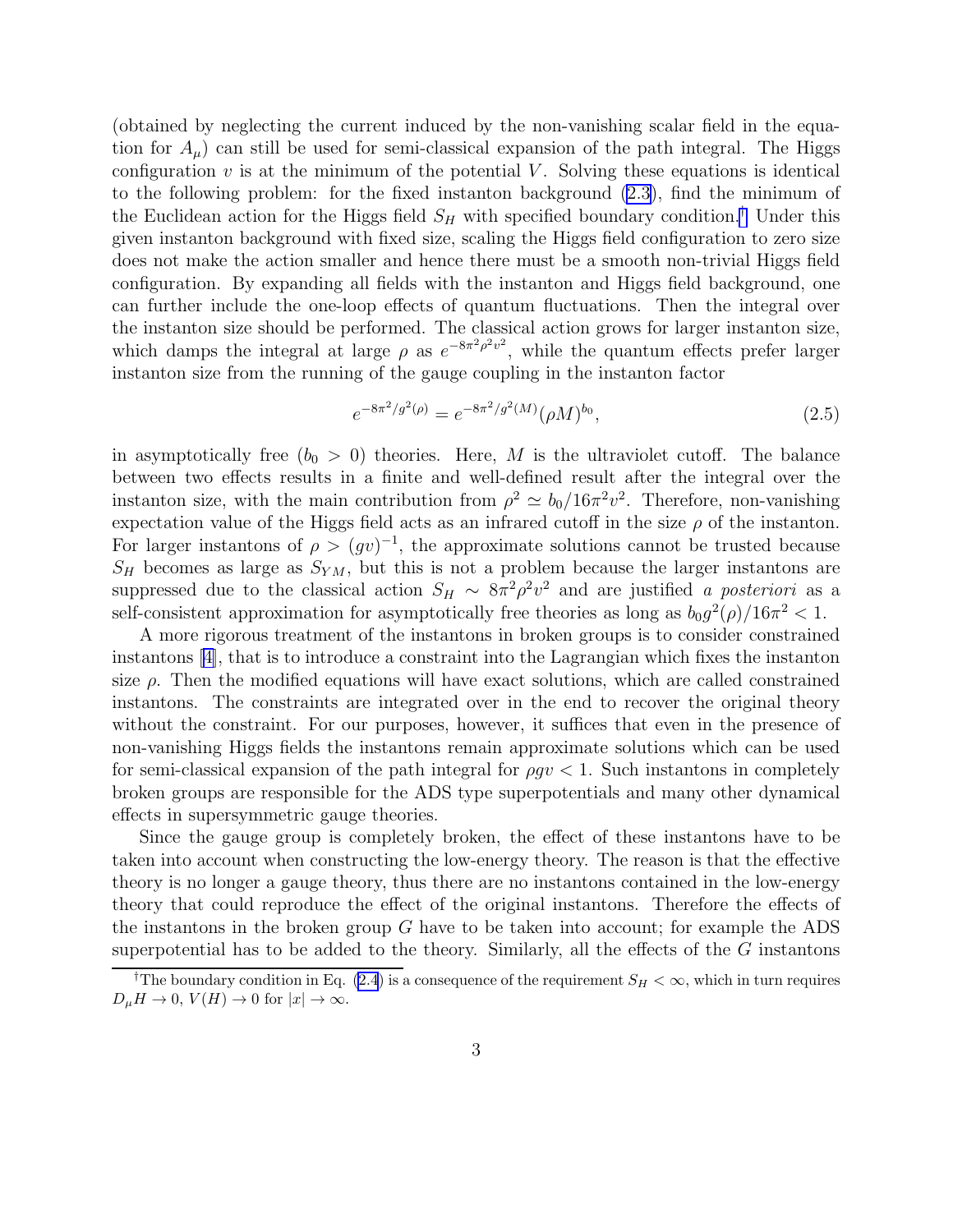(obtained by neglecting the current induced by the non-vanishing scalar field in the equation for  $A_\mu$ ) can still be used for semi-classical expansion of the path integral. The Higgs configuration  $v$  is at the minimum of the potential  $V$ . Solving these equations is identical to the following problem: for the fixed instanton background [\(2.3](#page-2-0)), find the minimum of the Euclidean action for the Higgs field  $S_H$  with specified boundary condition.<sup>†</sup> Under this given instanton background with fixed size, scaling the Higgs field configuration to zero size does not make the action smaller and hence there must be a smooth non-trivial Higgs field configuration. By expanding all fields with the instanton and Higgs field background, one can further include the one-loop effects of quantum fluctuations. Then the integral over the instanton size should be performed. The classical action grows for larger instanton size, which damps the integral at large  $\rho$  as  $e^{-8\pi^2 \rho^2 v^2}$ , while the quantum effects prefer larger instanton size from the running of the gauge coupling in the instanton factor

$$
e^{-8\pi^2/g^2(\rho)} = e^{-8\pi^2/g^2(M)}(\rho M)^{b_0},\tag{2.5}
$$

in asymptotically free  $(b_0 > 0)$  theories. Here, M is the ultraviolet cutoff. The balance between two effects results in a finite and well-defined result after the integral over the instanton size, with the main contribution from  $\rho^2 \simeq b_0/16\pi^2 v^2$ . Therefore, non-vanishing expectation value of the Higgs field acts as an infrared cutoff in the size  $\rho$  of the instanton. For larger instantons of  $\rho > (gv)^{-1}$ , the approximate solutions cannot be trusted because  $S_H$  becomes as large as  $S_{YM}$ , but this is not a problem because the larger instantons are suppressed due to the classical action  $S_H \sim 8\pi^2 \rho^2 v^2$  and are justified a posteriori as a self-consistent approximation for asymptotically free theories as long as  $b_0 g^2(\rho) / 16\pi^2 < 1$ .

A more rigorous treatment of the instantons in broken groups is to consider constrained instantons[[4\]](#page-29-0), that is to introduce a constraint into the Lagrangian which fixes the instanton size  $\rho$ . Then the modified equations will have exact solutions, which are called constrained instantons. The constraints are integrated over in the end to recover the original theory without the constraint. For our purposes, however, it suffices that even in the presence of non-vanishing Higgs fields the instantons remain approximate solutions which can be used for semi-classical expansion of the path integral for  $\rho g v < 1$ . Such instantons in completely broken groups are responsible for the ADS type superpotentials and many other dynamical effects in supersymmetric gauge theories.

Since the gauge group is completely broken, the effect of these instantons have to be taken into account when constructing the low-energy theory. The reason is that the effective theory is no longer a gauge theory, thus there are no instantons contained in the low-energy theory that could reproduce the effect of the original instantons. Therefore the effects of the instantons in the broken group  $G$  have to be taken into account; for example the ADS superpotential has to be added to the theory. Similarly, all the effects of the  $G$  instantons

<sup>&</sup>lt;sup>†</sup>The boundary condition in Eq. [\(2.4](#page-2-0)) is a consequence of the requirement  $S_H < \infty$ , which in turn requires  $D_{\mu}H \to 0$ ,  $V(H) \to 0$  for  $|x| \to \infty$ .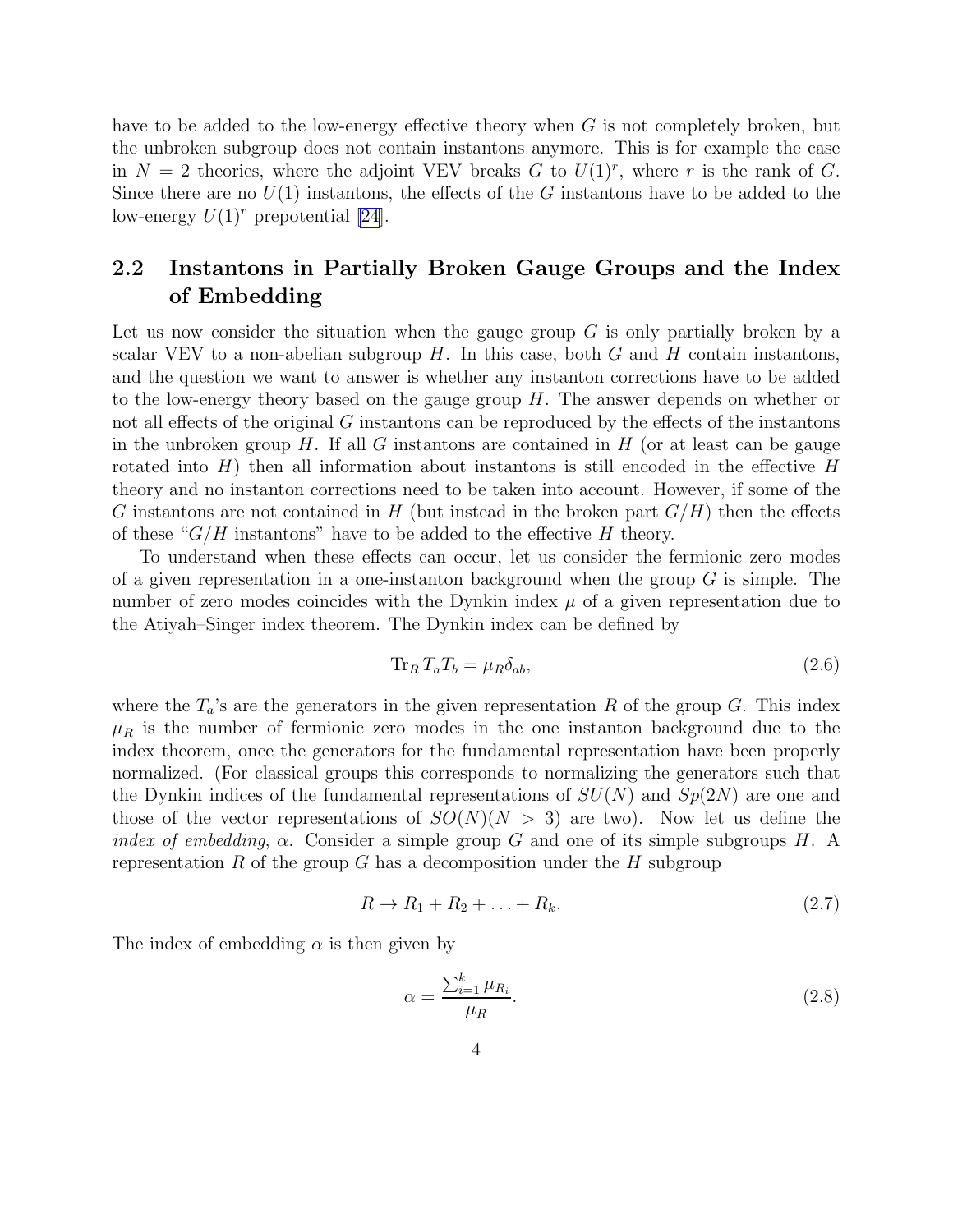<span id="page-4-0"></span>have to be added to the low-energy effective theory when G is not completely broken, but the unbroken subgroup does not contain instantons anymore. This is for example the case in  $N = 2$  theories, where the adjoint VEV breaks G to  $U(1)<sup>r</sup>$ , where r is the rank of G. Since there are no  $U(1)$  instantons, the effects of the G instantons have to be added to the low-energy  $U(1)^r$  prepotential [\[24\]](#page-30-0).

## 2.2 Instantons in Partially Broken Gauge Groups and the Index of Embedding

Let us now consider the situation when the gauge group  $G$  is only partially broken by a scalar VEV to a non-abelian subgroup  $H$ . In this case, both  $G$  and  $H$  contain instantons, and the question we want to answer is whether any instanton corrections have to be added to the low-energy theory based on the gauge group  $H$ . The answer depends on whether or not all effects of the original G instantons can be reproduced by the effects of the instantons in the unbroken group  $H$ . If all G instantons are contained in  $H$  (or at least can be gauge rotated into  $H$ ) then all information about instantons is still encoded in the effective  $H$ theory and no instanton corrections need to be taken into account. However, if some of the G instantons are not contained in H (but instead in the broken part  $G/H$ ) then the effects of these " $G/H$  instantons" have to be added to the effective H theory.

To understand when these effects can occur, let us consider the fermionic zero modes of a given representation in a one-instanton background when the group  $G$  is simple. The number of zero modes coincides with the Dynkin index  $\mu$  of a given representation due to the Atiyah–Singer index theorem. The Dynkin index can be defined by

$$
\operatorname{Tr}_R T_a T_b = \mu_R \delta_{ab},\tag{2.6}
$$

where the  $T_a$ 's are the generators in the given representation R of the group G. This index  $\mu_R$  is the number of fermionic zero modes in the one instanton background due to the index theorem, once the generators for the fundamental representation have been properly normalized. (For classical groups this corresponds to normalizing the generators such that the Dynkin indices of the fundamental representations of  $SU(N)$  and  $Sp(2N)$  are one and those of the vector representations of  $SO(N)(N > 3)$  are two). Now let us define the *index of embedding,*  $\alpha$ *.* Consider a simple group G and one of its simple subgroups H. A representation R of the group G has a decomposition under the H subgroup

$$
R \to R_1 + R_2 + \ldots + R_k. \tag{2.7}
$$

The index of embedding  $\alpha$  is then given by

$$
\alpha = \frac{\sum_{i=1}^{k} \mu_{R_i}}{\mu_R}.
$$
\n(2.8)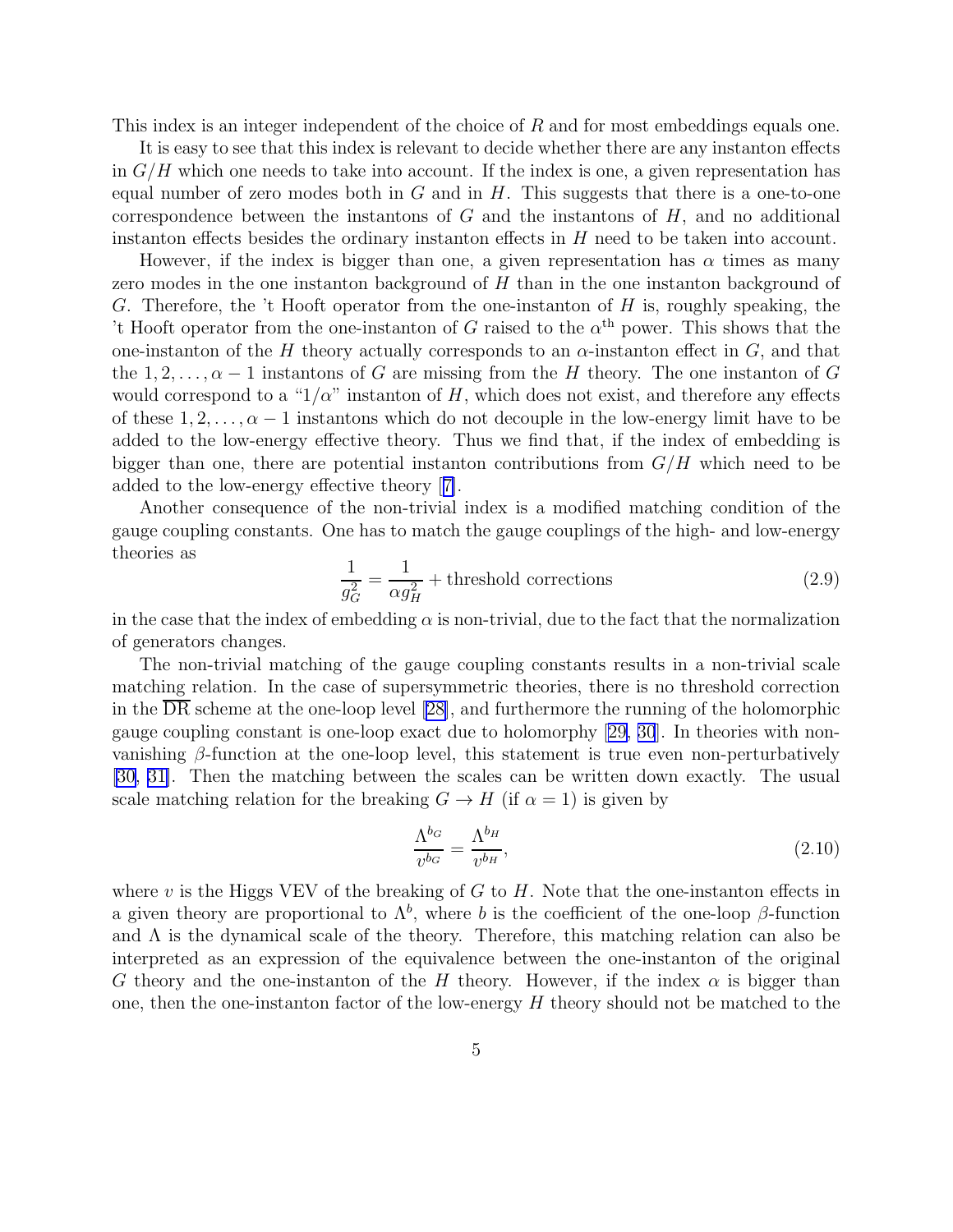<span id="page-5-0"></span>This index is an integer independent of the choice of R and for most embeddings equals one.

It is easy to see that this index is relevant to decide whether there are any instanton effects in  $G/H$  which one needs to take into account. If the index is one, a given representation has equal number of zero modes both in  $G$  and in  $H$ . This suggests that there is a one-to-one correspondence between the instantons of  $G$  and the instantons of  $H$ , and no additional instanton effects besides the ordinary instanton effects in H need to be taken into account.

However, if the index is bigger than one, a given representation has  $\alpha$  times as many zero modes in the one instanton background of  $H$  than in the one instanton background of G. Therefore, the 't Hooft operator from the one-instanton of  $H$  is, roughly speaking, the 't Hooft operator from the one-instanton of G raised to the  $\alpha^{\text{th}}$  power. This shows that the one-instanton of the H theory actually corresponds to an  $\alpha$ -instanton effect in G, and that the  $1, 2, \ldots, \alpha - 1$  instantons of G are missing from the H theory. The one instanton of G would correspond to a " $1/\alpha$ " instanton of H, which does not exist, and therefore any effects of these  $1, 2, \ldots, \alpha - 1$  instantons which do not decouple in the low-energy limit have to be added to the low-energy effective theory. Thus we find that, if the index of embedding is bigger than one, there are potential instanton contributions from  $G/H$  which need to be added to the low-energy effective theory[[7\]](#page-29-0).

Another consequence of the non-trivial index is a modified matching condition of the gauge coupling constants. One has to match the gauge couplings of the high- and low-energy theories as

$$
\frac{1}{g_G^2} = \frac{1}{\alpha g_H^2} + \text{threshold corrections} \tag{2.9}
$$

in the case that the index of embedding  $\alpha$  is non-trivial, due to the fact that the normalization of generators changes.

The non-trivial matching of the gauge coupling constants results in a non-trivial scale matching relation. In the case of supersymmetric theories, there is no threshold correction in the DR scheme at the one-loop level [\[28\]](#page-30-0), and furthermore the running of the holomorphic gauge coupling constant is one-loop exact due to holomorphy[[29, 30](#page-30-0)]. In theories with nonvanishing  $\beta$ -function at the one-loop level, this statement is true even non-perturbatively [\[30, 31\]](#page-30-0). Then the matching between the scales can be written down exactly. The usual scale matching relation for the breaking  $G \to H$  (if  $\alpha = 1$ ) is given by

$$
\frac{\Lambda^{b_G}}{v^{b_G}} = \frac{\Lambda^{b_H}}{v^{b_H}},\tag{2.10}
$$

where v is the Higgs VEV of the breaking of  $G$  to  $H$ . Note that the one-instanton effects in a given theory are proportional to  $\Lambda^b$ , where b is the coefficient of the one-loop  $\beta$ -function and  $\Lambda$  is the dynamical scale of the theory. Therefore, this matching relation can also be interpreted as an expression of the equivalence between the one-instanton of the original G theory and the one-instanton of the H theory. However, if the index  $\alpha$  is bigger than one, then the one-instanton factor of the low-energy  $H$  theory should not be matched to the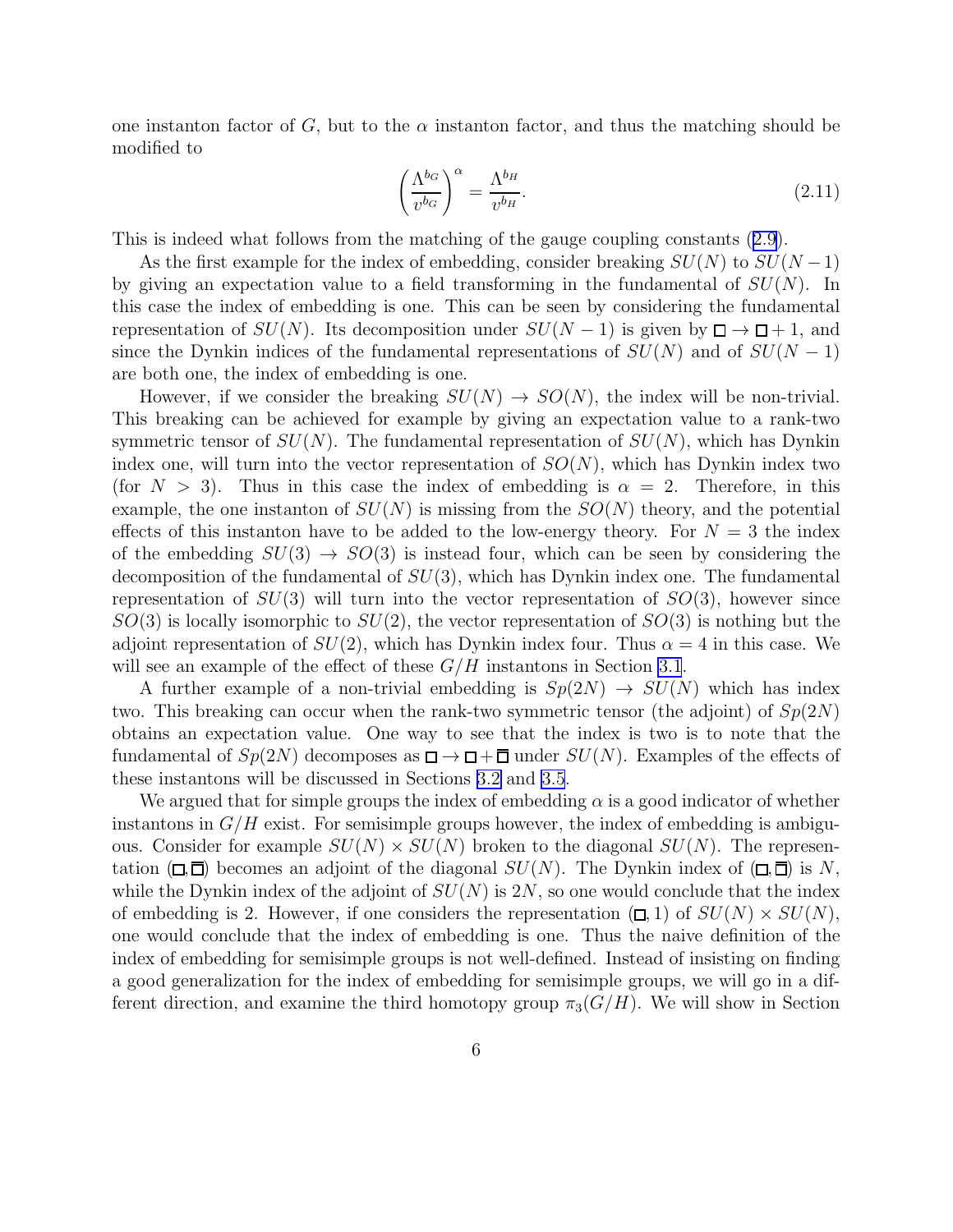<span id="page-6-0"></span>one instanton factor of G, but to the  $\alpha$  instanton factor, and thus the matching should be modified to

$$
\left(\frac{\Lambda^{b_G}}{v^{b_G}}\right)^{\alpha} = \frac{\Lambda^{b_H}}{v^{b_H}}.\tag{2.11}
$$

This is indeed what follows from the matching of the gauge coupling constants([2.9\)](#page-5-0).

As the first example for the index of embedding, consider breaking  $SU(N)$  to  $SU(N-1)$ by giving an expectation value to a field transforming in the fundamental of  $SU(N)$ . In this case the index of embedding is one. This can be seen by considering the fundamental representation of  $SU(N)$ . Its decomposition under  $SU(N-1)$  is given by  $\Box \rightarrow \Box + 1$ , and since the Dynkin indices of the fundamental representations of  $SU(N)$  and of  $SU(N-1)$ are both one, the index of embedding is one.

However, if we consider the breaking  $SU(N) \rightarrow SO(N)$ , the index will be non-trivial. This breaking can be achieved for example by giving an expectation value to a rank-two symmetric tensor of  $SU(N)$ . The fundamental representation of  $SU(N)$ , which has Dynkin index one, will turn into the vector representation of  $SO(N)$ , which has Dynkin index two (for  $N > 3$ ). Thus in this case the index of embedding is  $\alpha = 2$ . Therefore, in this example, the one instanton of  $SU(N)$  is missing from the  $SO(N)$  theory, and the potential effects of this instanton have to be added to the low-energy theory. For  $N = 3$  the index of the embedding  $SU(3) \rightarrow SO(3)$  is instead four, which can be seen by considering the decomposition of the fundamental of  $SU(3)$ , which has Dynkin index one. The fundamental representation of  $SU(3)$  will turn into the vector representation of  $SO(3)$ , however since  $SO(3)$  is locally isomorphic to  $SU(2)$ , the vector representation of  $SO(3)$  is nothing but the adjoint representation of  $SU(2)$ , which has Dynkin index four. Thus  $\alpha = 4$  in this case. We will see an example of the effect of these  $G/H$  instantons in Section [3.1](#page-12-0).

A further example of a non-trivial embedding is  $Sp(2N) \to SU(N)$  which has index two. This breaking can occur when the rank-two symmetric tensor (the adjoint) of  $Sp(2N)$ obtains an expectation value. One way to see that the index is two is to note that the fundamental of  $Sp(2N)$  decomposes as  $\Box \rightarrow \Box + \overline{\Box}$  under  $SU(N)$ . Examples of the effects of these instantons will be discussed in Sections [3.2](#page-17-0) and [3.5](#page-23-0).

We argued that for simple groups the index of embedding  $\alpha$  is a good indicator of whether instantons in  $G/H$  exist. For semisimple groups however, the index of embedding is ambiguous. Consider for example  $SU(N) \times SU(N)$  broken to the diagonal  $SU(N)$ . The representation  $(\Box, \overline{\Box})$  becomes an adjoint of the diagonal  $SU(N)$ . The Dynkin index of  $(\Box, \overline{\Box})$  is N, while the Dynkin index of the adjoint of  $SU(N)$  is 2N, so one would conclude that the index of embedding is 2. However, if one considers the representation  $(\Box, 1)$  of  $SU(N) \times SU(N)$ , one would conclude that the index of embedding is one. Thus the naive definition of the index of embedding for semisimple groups is not well-defined. Instead of insisting on finding a good generalization for the index of embedding for semisimple groups, we will go in a different direction, and examine the third homotopy group  $\pi_3(G/H)$ . We will show in Section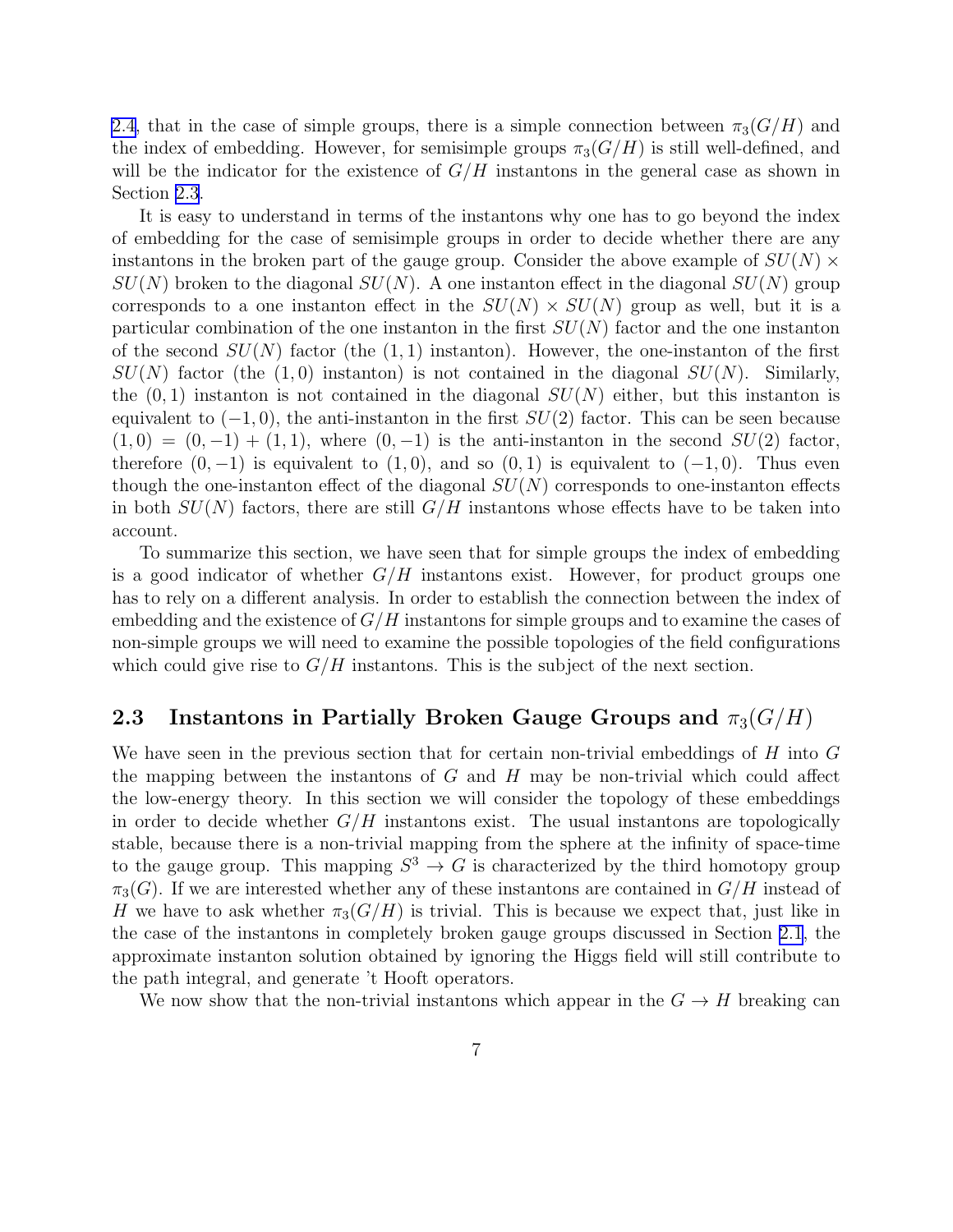[2.4,](#page-9-0) that in the case of simple groups, there is a simple connection between  $\pi_3(G/H)$  and the index of embedding. However, for semisimple groups  $\pi_3(G/H)$  is still well-defined, and will be the indicator for the existence of  $G/H$  instantons in the general case as shown in Section 2.3.

It is easy to understand in terms of the instantons why one has to go beyond the index of embedding for the case of semisimple groups in order to decide whether there are any instantons in the broken part of the gauge group. Consider the above example of  $SU(N) \times$  $SU(N)$  broken to the diagonal  $SU(N)$ . A one instanton effect in the diagonal  $SU(N)$  group corresponds to a one instanton effect in the  $SU(N) \times SU(N)$  group as well, but it is a particular combination of the one instanton in the first  $SU(N)$  factor and the one instanton of the second  $SU(N)$  factor (the  $(1,1)$  instanton). However, the one-instanton of the first  $SU(N)$  factor (the (1,0) instanton) is not contained in the diagonal  $SU(N)$ . Similarly, the  $(0, 1)$  instanton is not contained in the diagonal  $SU(N)$  either, but this instanton is equivalent to  $(-1, 0)$ , the anti-instanton in the first  $SU(2)$  factor. This can be seen because  $(1,0) = (0,-1) + (1,1)$ , where  $(0,-1)$  is the anti-instanton in the second  $SU(2)$  factor, therefore  $(0, -1)$  is equivalent to  $(1, 0)$ , and so  $(0, 1)$  is equivalent to  $(-1, 0)$ . Thus even though the one-instanton effect of the diagonal  $SU(N)$  corresponds to one-instanton effects in both  $SU(N)$  factors, there are still  $G/H$  instantons whose effects have to be taken into account.

To summarize this section, we have seen that for simple groups the index of embedding is a good indicator of whether  $G/H$  instantons exist. However, for product groups one has to rely on a different analysis. In order to establish the connection between the index of embedding and the existence of  $G/H$  instantons for simple groups and to examine the cases of non-simple groups we will need to examine the possible topologies of the field configurations which could give rise to  $G/H$  instantons. This is the subject of the next section.

#### 2.3 Instantons in Partially Broken Gauge Groups and  $\pi_3(G/H)$

We have seen in the previous section that for certain non-trivial embeddings of H into G the mapping between the instantons of  $G$  and  $H$  may be non-trivial which could affect the low-energy theory. In this section we will consider the topology of these embeddings in order to decide whether  $G/H$  instantons exist. The usual instantons are topologically stable, because there is a non-trivial mapping from the sphere at the infinity of space-time to the gauge group. This mapping  $S^3 \to G$  is characterized by the third homotopy group  $\pi_3(G)$ . If we are interested whether any of these instantons are contained in  $G/H$  instead of H we have to ask whether  $\pi_3(G/H)$  is trivial. This is because we expect that, just like in the case of the instantons in completely broken gauge groups discussed in Section [2.1,](#page-2-0) the approximate instanton solution obtained by ignoring the Higgs field will still contribute to the path integral, and generate 't Hooft operators.

We now show that the non-trivial instantons which appear in the  $G \to H$  breaking can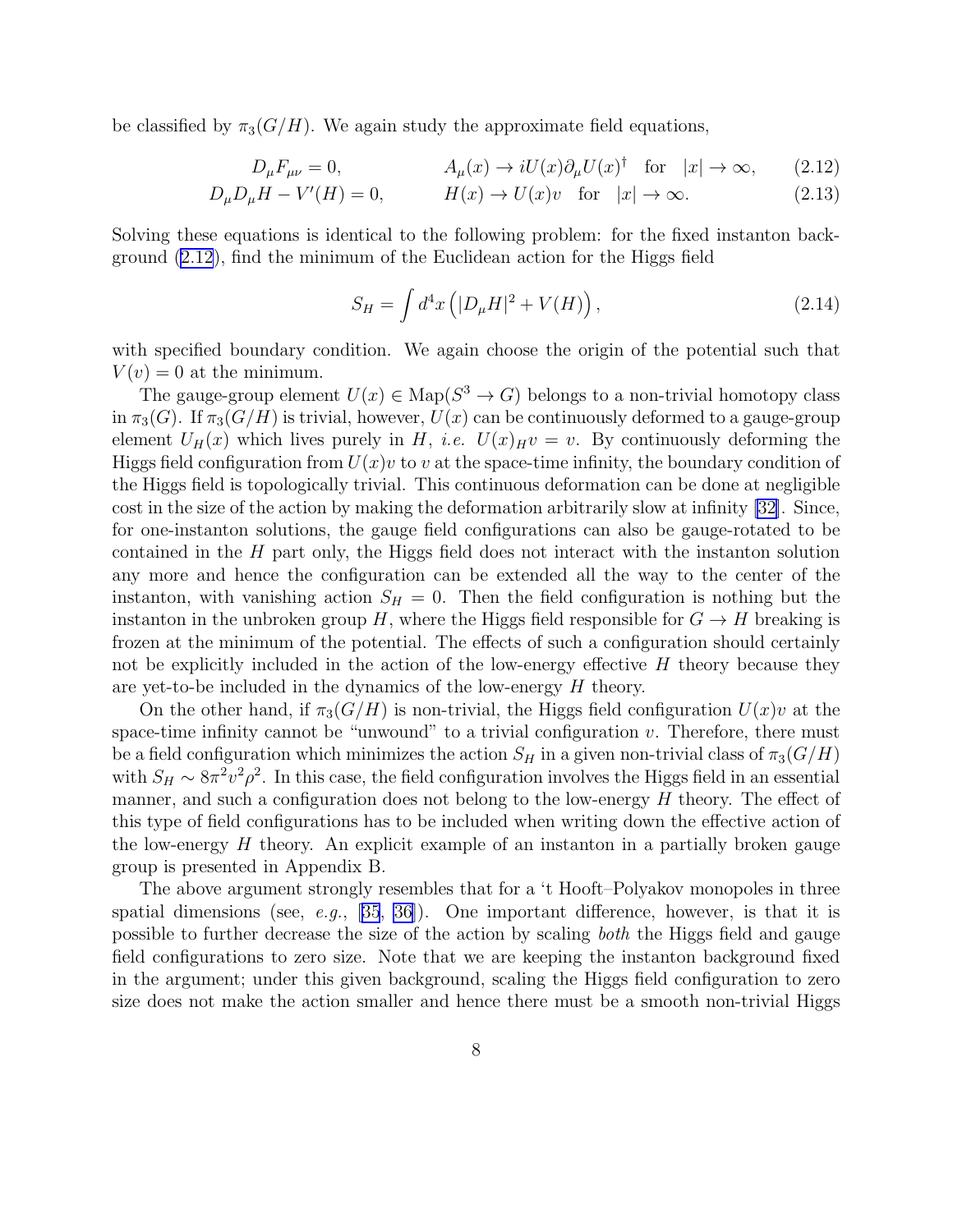<span id="page-8-0"></span>be classified by  $\pi_3(G/H)$ . We again study the approximate field equations,

$$
D_{\mu}F_{\mu\nu} = 0, \qquad A_{\mu}(x) \to iU(x)\partial_{\mu}U(x)^{\dagger} \quad \text{for} \quad |x| \to \infty, \qquad (2.12)
$$

$$
D_{\mu}D_{\mu}H - V'(H) = 0, \qquad H(x) \to U(x)v \quad \text{for} \quad |x| \to \infty. \tag{2.13}
$$

Solving these equations is identical to the following problem: for the fixed instanton background (2.12), find the minimum of the Euclidean action for the Higgs field

$$
S_H = \int d^4x \left( |D_\mu H|^2 + V(H) \right), \tag{2.14}
$$

with specified boundary condition. We again choose the origin of the potential such that  $V(v) = 0$  at the minimum.

The gauge-group element  $U(x) \in \text{Map}(S^3 \to G)$  belongs to a non-trivial homotopy class in  $\pi_3(G)$ . If  $\pi_3(G/H)$  is trivial, however,  $U(x)$  can be continuously deformed to a gauge-group element  $U_H(x)$  which lives purely in H, *i.e.*  $U(x)_{H} v = v$ . By continuously deforming the Higgs field configuration from  $U(x)v$  to v at the space-time infinity, the boundary condition of the Higgs field is topologically trivial. This continuous deformation can be done at negligible cost in the size of the action by making the deformation arbitrarily slow at infinity [\[32\]](#page-30-0). Since, for one-instanton solutions, the gauge field configurations can also be gauge-rotated to be contained in the H part only, the Higgs field does not interact with the instanton solution any more and hence the configuration can be extended all the way to the center of the instanton, with vanishing action  $S_H = 0$ . Then the field configuration is nothing but the instanton in the unbroken group H, where the Higgs field responsible for  $G \to H$  breaking is frozen at the minimum of the potential. The effects of such a configuration should certainly not be explicitly included in the action of the low-energy effective  $H$  theory because they are yet-to-be included in the dynamics of the low-energy H theory.

On the other hand, if  $\pi_3(G/H)$  is non-trivial, the Higgs field configuration  $U(x)v$  at the space-time infinity cannot be "unwound" to a trivial configuration  $v$ . Therefore, there must be a field configuration which minimizes the action  $S_H$  in a given non-trivial class of  $\pi_3(G/H)$ with  $S_H \sim 8\pi^2 v^2 \rho^2$ . In this case, the field configuration involves the Higgs field in an essential manner, and such a configuration does not belong to the low-energy  $H$  theory. The effect of this type of field configurations has to be included when writing down the effective action of the low-energy  $H$  theory. An explicit example of an instanton in a partially broken gauge group is presented in Appendix B.

The above argument strongly resembles that for a 't Hooft–Polyakov monopoles in three spatialdimensions (see, e.g.,  $[35, 36]$  $[35, 36]$  $[35, 36]$  $[35, 36]$ ). One important difference, however, is that it is possible to further decrease the size of the action by scaling both the Higgs field and gauge field configurations to zero size. Note that we are keeping the instanton background fixed in the argument; under this given background, scaling the Higgs field configuration to zero size does not make the action smaller and hence there must be a smooth non-trivial Higgs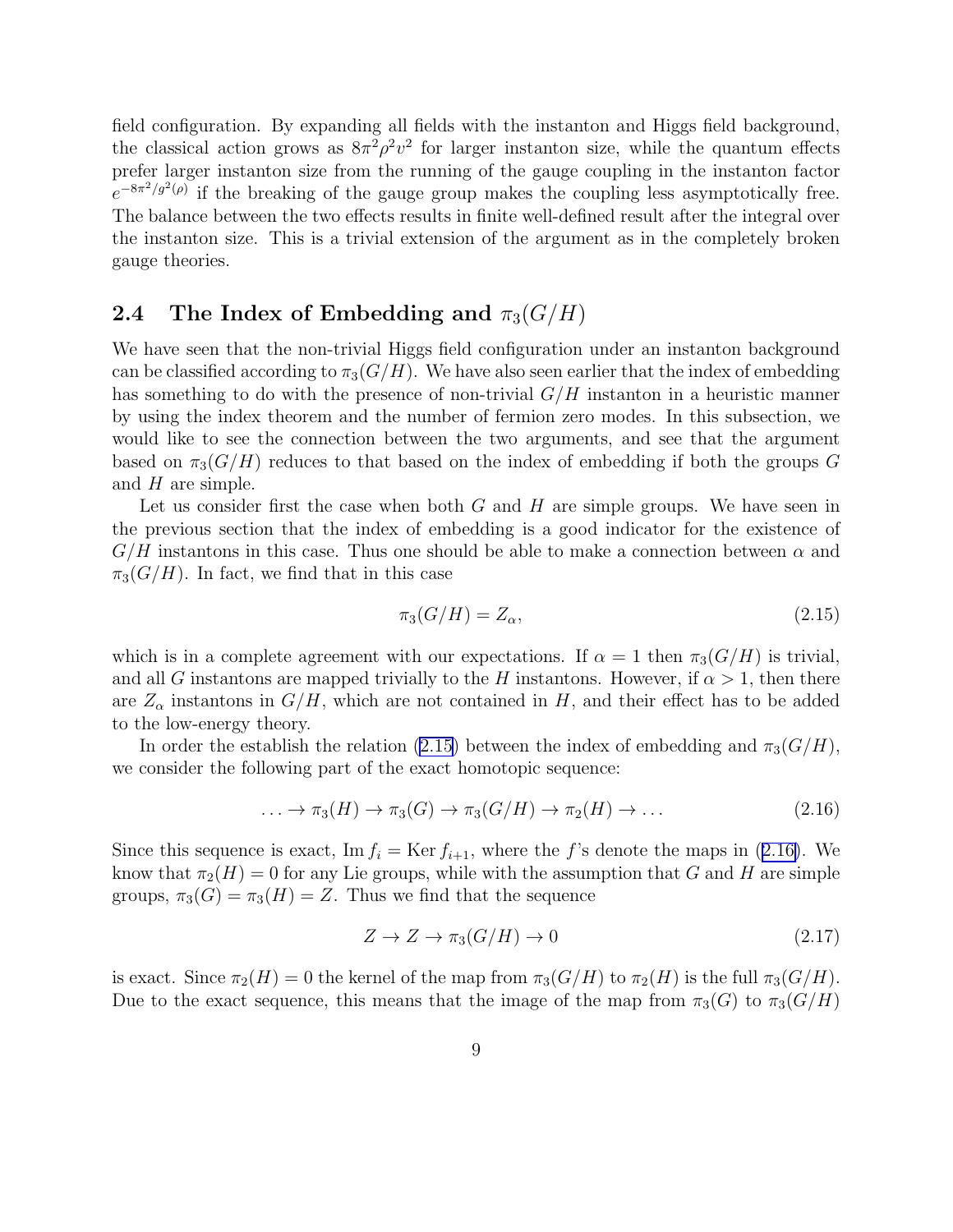<span id="page-9-0"></span>field configuration. By expanding all fields with the instanton and Higgs field background, the classical action grows as  $8\pi^2\rho^2v^2$  for larger instanton size, while the quantum effects prefer larger instanton size from the running of the gauge coupling in the instanton factor  $e^{-8\pi^2/g^2(\rho)}$  if the breaking of the gauge group makes the coupling less asymptotically free. The balance between the two effects results in finite well-defined result after the integral over the instanton size. This is a trivial extension of the argument as in the completely broken gauge theories.

#### 2.4 The Index of Embedding and  $\pi_3(G/H)$

We have seen that the non-trivial Higgs field configuration under an instanton background can be classified according to  $\pi_3(G/H)$ . We have also seen earlier that the index of embedding has something to do with the presence of non-trivial  $G/H$  instanton in a heuristic manner by using the index theorem and the number of fermion zero modes. In this subsection, we would like to see the connection between the two arguments, and see that the argument based on  $\pi_3(G/H)$  reduces to that based on the index of embedding if both the groups G and  $H$  are simple.

Let us consider first the case when both  $G$  and  $H$  are simple groups. We have seen in the previous section that the index of embedding is a good indicator for the existence of  $G/H$  instantons in this case. Thus one should be able to make a connection between  $\alpha$  and  $\pi_3(G/H)$ . In fact, we find that in this case

$$
\pi_3(G/H) = Z_\alpha,\tag{2.15}
$$

which is in a complete agreement with our expectations. If  $\alpha = 1$  then  $\pi_3(G/H)$  is trivial, and all G instantons are mapped trivially to the H instantons. However, if  $\alpha > 1$ , then there are  $Z_{\alpha}$  instantons in  $G/H$ , which are not contained in H, and their effect has to be added to the low-energy theory.

In order the establish the relation (2.15) between the index of embedding and  $\pi_3(G/H)$ , we consider the following part of the exact homotopic sequence:

$$
\ldots \to \pi_3(H) \to \pi_3(G) \to \pi_3(G/H) \to \pi_2(H) \to \ldots
$$
\n(2.16)

Since this sequence is exact, Im  $f_i = \text{Ker } f_{i+1}$ , where the f's denote the maps in (2.16). We know that  $\pi_2(H) = 0$  for any Lie groups, while with the assumption that G and H are simple groups,  $\pi_3(G) = \pi_3(H) = Z$ . Thus we find that the sequence

$$
Z \to Z \to \pi_3(G/H) \to 0 \tag{2.17}
$$

is exact. Since  $\pi_2(H) = 0$  the kernel of the map from  $\pi_3(G/H)$  to  $\pi_2(H)$  is the full  $\pi_3(G/H)$ . Due to the exact sequence, this means that the image of the map from  $\pi_3(G)$  to  $\pi_3(G/H)$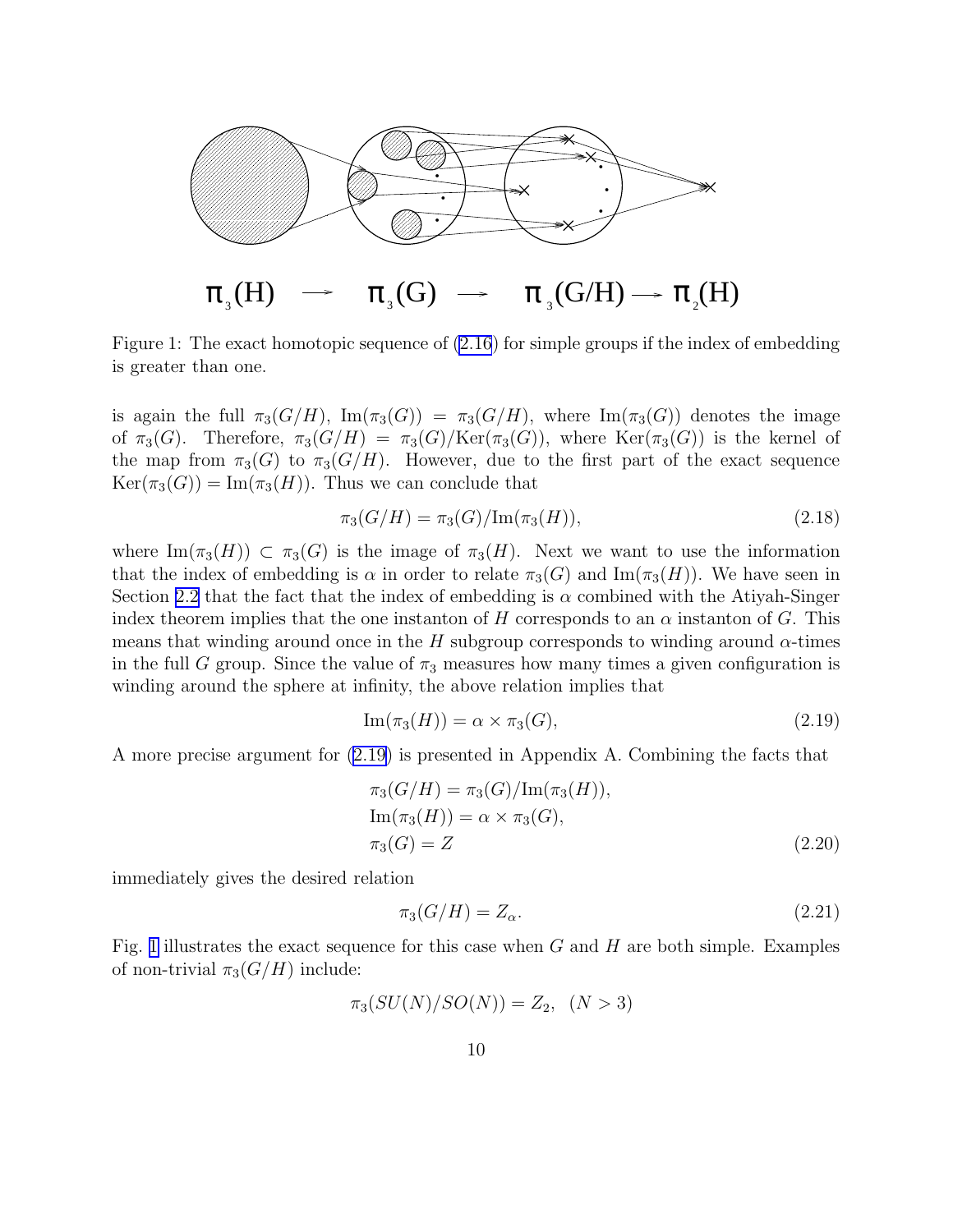

Figure 1: The exact homotopic sequence of [\(2.16](#page-9-0)) for simple groups if the index of embedding is greater than one.

is again the full  $\pi_3(G/H)$ ,  $\text{Im}(\pi_3(G)) = \pi_3(G/H)$ , where  $\text{Im}(\pi_3(G))$  denotes the image of  $\pi_3(G)$ . Therefore,  $\pi_3(G/H) = \pi_3(G)/\text{Ker}(\pi_3(G))$ , where  $\text{Ker}(\pi_3(G))$  is the kernel of the map from  $\pi_3(G)$  to  $\pi_3(G/H)$ . However, due to the first part of the exact sequence  $Ker(\pi_3(G)) = \text{Im}(\pi_3(H))$ . Thus we can conclude that

$$
\pi_3(G/H) = \pi_3(G)/\text{Im}(\pi_3(H)),\tag{2.18}
$$

where  $\text{Im}(\pi_3(H)) \subset \pi_3(G)$  is the image of  $\pi_3(H)$ . Next we want to use the information that the index of embedding is  $\alpha$  in order to relate  $\pi_3(G)$  and  $\text{Im}(\pi_3(H))$ . We have seen in Section [2.2](#page-4-0) that the fact that the index of embedding is  $\alpha$  combined with the Atiyah-Singer index theorem implies that the one instanton of H corresponds to an  $\alpha$  instanton of G. This means that winding around once in the H subgroup corresponds to winding around  $\alpha$ -times in the full G group. Since the value of  $\pi_3$  measures how many times a given configuration is winding around the sphere at infinity, the above relation implies that

$$
\operatorname{Im}(\pi_3(H)) = \alpha \times \pi_3(G),\tag{2.19}
$$

A more precise argument for (2.19) is presented in Appendix A. Combining the facts that

$$
\pi_3(G/H) = \pi_3(G)/\text{Im}(\pi_3(H)),
$$
  
\n
$$
\text{Im}(\pi_3(H)) = \alpha \times \pi_3(G),
$$
  
\n
$$
\pi_3(G) = Z
$$
\n(2.20)

immediately gives the desired relation

$$
\pi_3(G/H) = Z_\alpha. \tag{2.21}
$$

Fig. 1 illustrates the exact sequence for this case when  $G$  and  $H$  are both simple. Examples of non-trivial  $\pi_3(G/H)$  include:

$$
\pi_3(SU(N)/SO(N)) = Z_2, \ \ (N > 3)
$$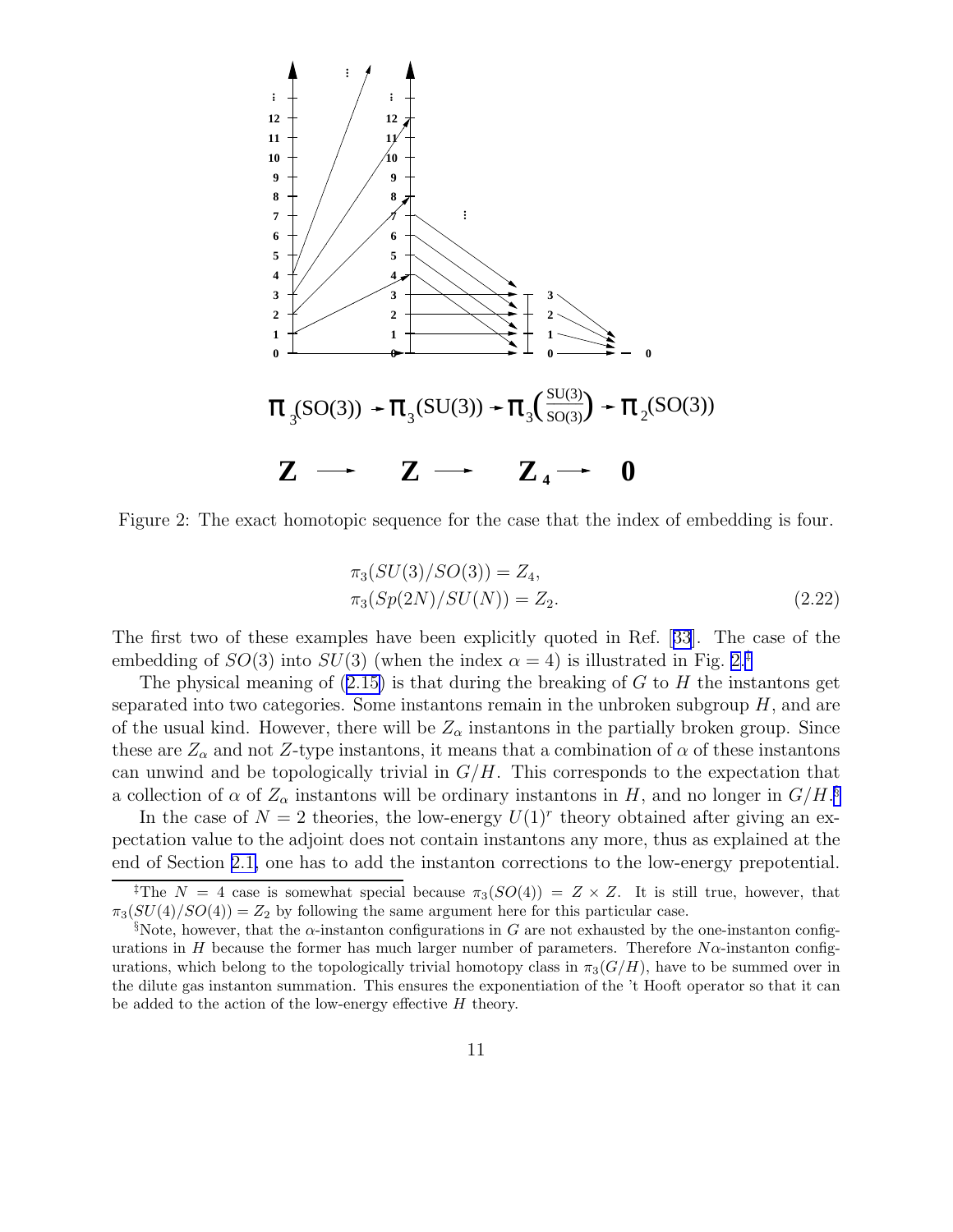

Figure 2: The exact homotopic sequence for the case that the index of embedding is four.

$$
\pi_3(SU(3)/SO(3)) = Z_4,
$$
  
\n
$$
\pi_3(Sp(2N)/SU(N)) = Z_2.
$$
\n(2.22)

The first two of these examples have been explicitly quoted in Ref.[[33](#page-30-0)]. The case of the embedding of  $SO(3)$  into  $SU(3)$  (when the index  $\alpha = 4$ ) is illustrated in Fig. 2.<sup>‡</sup>

Thephysical meaning of  $(2.15)$  $(2.15)$  is that during the breaking of G to H the instantons get separated into two categories. Some instantons remain in the unbroken subgroup  $H$ , and are of the usual kind. However, there will be  $Z_{\alpha}$  instantons in the partially broken group. Since these are  $Z_{\alpha}$  and not Z-type instantons, it means that a combination of  $\alpha$  of these instantons can unwind and be topologically trivial in  $G/H$ . This corresponds to the expectation that a collection of  $\alpha$  of  $Z_{\alpha}$  instantons will be ordinary instantons in H, and no longer in  $G/H$ .<sup>§</sup>

In the case of  $N=2$  theories, the low-energy  $U(1)^r$  theory obtained after giving an expectation value to the adjoint does not contain instantons any more, thus as explained at the end of Section [2.1,](#page-2-0) one has to add the instanton corrections to the low-energy prepotential.

<sup>&</sup>lt;sup>‡</sup>The  $N = 4$  case is somewhat special because  $\pi_3(SO(4)) = Z \times Z$ . It is still true, however, that  $\pi_3(SU(4)/SO(4)) = Z_2$  by following the same argument here for this particular case.

<sup>§</sup>Note, however, that the  $\alpha$ -instanton configurations in G are not exhausted by the one-instanton configurations in H because the former has much larger number of parameters. Therefore  $N\alpha$ -instanton configurations, which belong to the topologically trivial homotopy class in  $\pi_3(G/H)$ , have to be summed over in the dilute gas instanton summation. This ensures the exponentiation of the 't Hooft operator so that it can be added to the action of the low-energy effective H theory.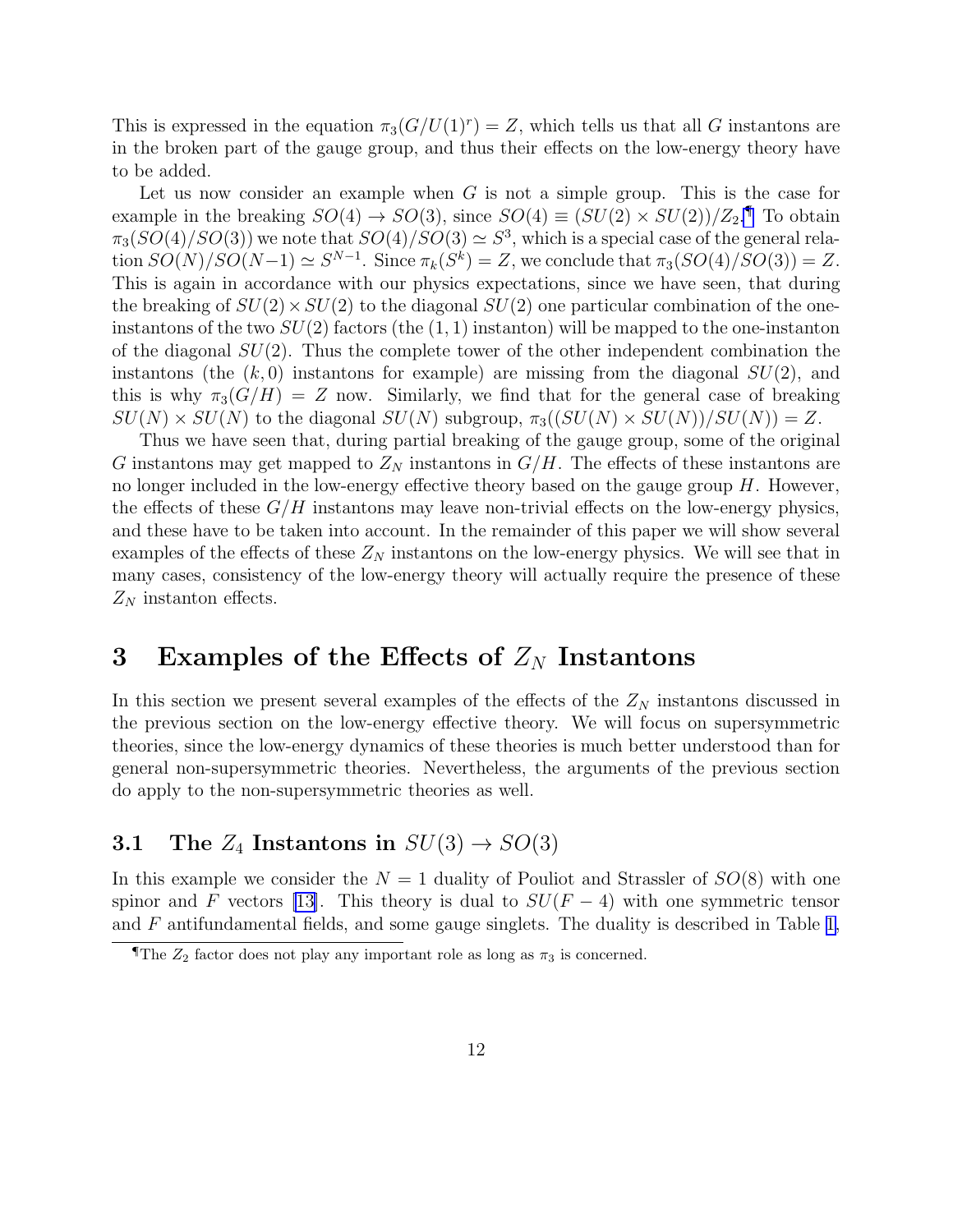<span id="page-12-0"></span>This is expressed in the equation  $\pi_3(G/U(1)^r) = Z$ , which tells us that all G instantons are in the broken part of the gauge group, and thus their effects on the low-energy theory have to be added.

Let us now consider an example when  $G$  is not a simple group. This is the case for example in the breaking  $SO(4) \rightarrow SO(3)$ , since  $SO(4) \equiv (SU(2) \times SU(2))/Z_2$ . To obtain  $\pi_3(SO(4)/SO(3))$  we note that  $SO(4)/SO(3) \simeq S^3$ , which is a special case of the general relation  $SO(N)/SO(N-1) \simeq S^{N-1}$ . Since  $\pi_k(S^k) = Z$ , we conclude that  $\pi_3(SO(4)/SO(3)) = Z$ . This is again in accordance with our physics expectations, since we have seen, that during the breaking of  $SU(2) \times SU(2)$  to the diagonal  $SU(2)$  one particular combination of the oneinstantons of the two  $SU(2)$  factors (the  $(1, 1)$ ) instanton) will be mapped to the one-instanton of the diagonal  $SU(2)$ . Thus the complete tower of the other independent combination the instantons (the  $(k, 0)$  instantons for example) are missing from the diagonal  $SU(2)$ , and this is why  $\pi_3(G/H) = Z$  now. Similarly, we find that for the general case of breaking  $SU(N) \times SU(N)$  to the diagonal  $SU(N)$  subgroup,  $\pi_3((SU(N) \times SU(N))/SU(N)) = Z$ .

Thus we have seen that, during partial breaking of the gauge group, some of the original G instantons may get mapped to  $Z_N$  instantons in  $G/H$ . The effects of these instantons are no longer included in the low-energy effective theory based on the gauge group  $H$ . However, the effects of these  $G/H$  instantons may leave non-trivial effects on the low-energy physics, and these have to be taken into account. In the remainder of this paper we will show several examples of the effects of these  $Z_N$  instantons on the low-energy physics. We will see that in many cases, consistency of the low-energy theory will actually require the presence of these  $Z_N$  instanton effects.

## 3 Examples of the Effects of  $Z_N$  Instantons

In this section we present several examples of the effects of the  $Z_N$  instantons discussed in the previous section on the low-energy effective theory. We will focus on supersymmetric theories, since the low-energy dynamics of these theories is much better understood than for general non-supersymmetric theories. Nevertheless, the arguments of the previous section do apply to the non-supersymmetric theories as well.

### 3.1 The  $Z_4$  Instantons in  $SU(3) \rightarrow SO(3)$

In this example we consider the  $N = 1$  duality of Pouliot and Strassler of  $SO(8)$  with one spinor and F vectors [\[13](#page-29-0)]. This theory is dual to  $SU(F-4)$  with one symmetric tensor and F antifundamental fields, and some gauge singlets. The duality is described in Table [1,](#page-13-0)

The  $Z_2$  factor does not play any important role as long as  $\pi_3$  is concerned.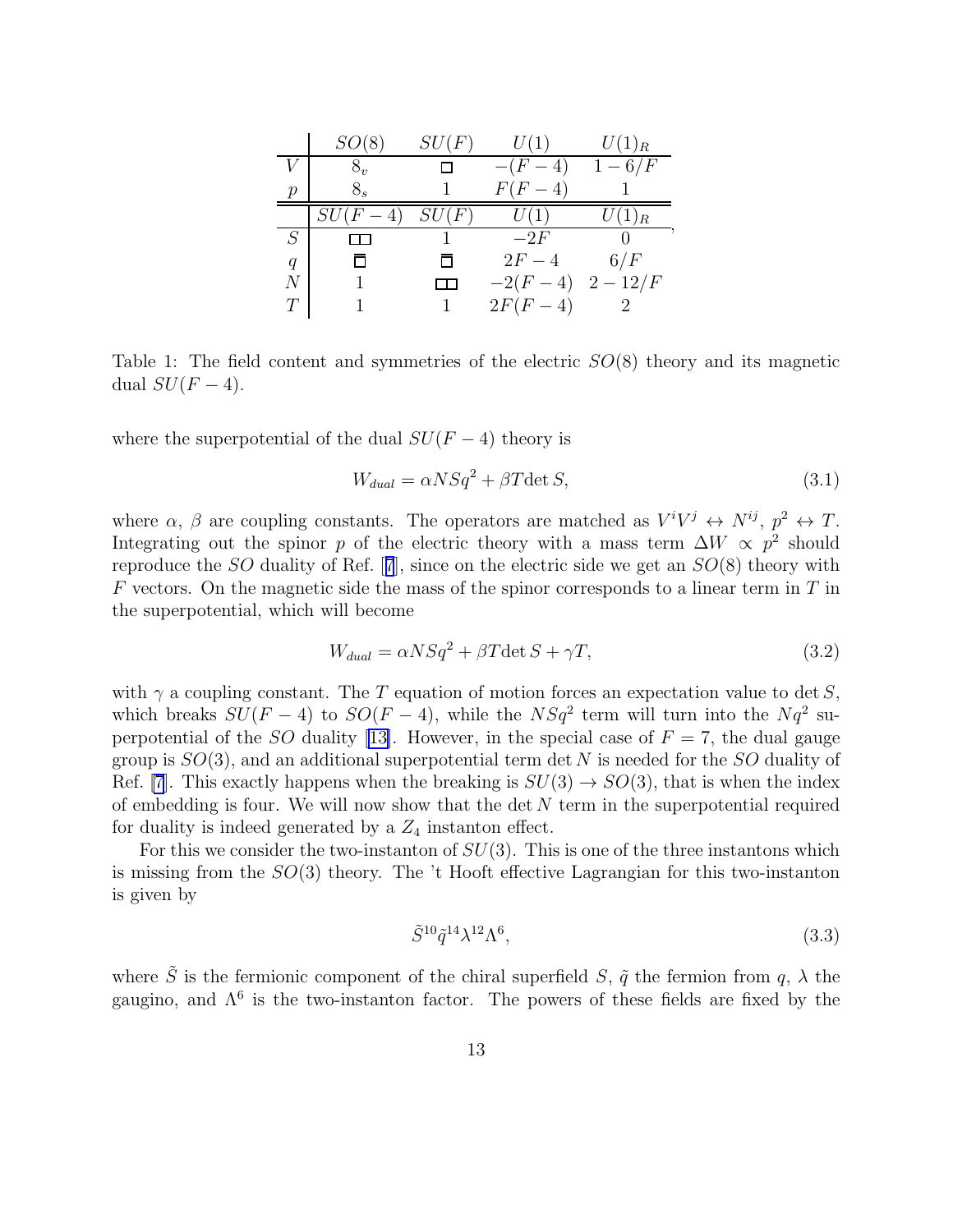<span id="page-13-0"></span>

|   | SO(8)                   | SU(F) | U(1)                                                     | $U(1)_R$            |
|---|-------------------------|-------|----------------------------------------------------------|---------------------|
|   |                         |       | $-4)$<br>$\langle F \rangle$<br>$\overline{\phantom{0}}$ | $1-6/F$             |
| р | $8_{s}$                 |       | $F(F-4)$                                                 |                     |
|   | SU(F)<br>$\overline{4}$ | SU(F) | U(1)                                                     | $\overline{U}(1)_R$ |
| S |                         |       | $-2F$                                                    |                     |
| q |                         |       | $2F-4$                                                   | 6/F                 |
| N |                         |       | $-2(F-4)$                                                | $2 - 12/F$          |
|   |                         |       | $-4$<br>2F(                                              |                     |

Table 1: The field content and symmetries of the electric  $SO(8)$  theory and its magnetic dual  $SU(F-4)$ .

where the superpotential of the dual  $SU(F-4)$  theory is

$$
W_{dual} = \alpha NSq^2 + \beta T \det S,\tag{3.1}
$$

where  $\alpha$ ,  $\beta$  are coupling constants. The operators are matched as  $V^i V^j \leftrightarrow N^{ij}$ ,  $p^2 \leftrightarrow T$ . Integrating out the spinor p of the electric theory with a mass term  $\Delta W \propto p^2$  should reproduce the SO duality of Ref.[[7](#page-29-0)], since on the electric side we get an SO(8) theory with  $F$  vectors. On the magnetic side the mass of the spinor corresponds to a linear term in  $T$  in the superpotential, which will become

$$
W_{dual} = \alpha NSq^2 + \beta T \det S + \gamma T,\tag{3.2}
$$

with  $\gamma$  a coupling constant. The T equation of motion forces an expectation value to det S, which breaks  $SU(F-4)$  to  $SO(F-4)$ , while the  $NSq^2$  term will turn into the  $Nq^2$  su-perpotential of the SO duality [\[13\]](#page-29-0). However, in the special case of  $F = 7$ , the dual gauge group is  $SO(3)$ , and an additional superpotential term det N is needed for the SO duality of Ref. [\[7](#page-29-0)]. This exactly happens when the breaking is  $SU(3) \rightarrow SO(3)$ , that is when the index of embedding is four. We will now show that the det  $N$  term in the superpotential required for duality is indeed generated by a  $Z_4$  instanton effect.

For this we consider the two-instanton of  $SU(3)$ . This is one of the three instantons which is missing from the  $SO(3)$  theory. The 't Hooft effective Lagrangian for this two-instanton is given by

$$
\tilde{S}^{10}\tilde{q}^{14}\lambda^{12}\Lambda^6,\tag{3.3}
$$

where  $\tilde{S}$  is the fermionic component of the chiral superfield  $S$ ,  $\tilde{q}$  the fermion from  $q$ ,  $\lambda$  the gaugino, and  $\Lambda^6$  is the two-instanton factor. The powers of these fields are fixed by the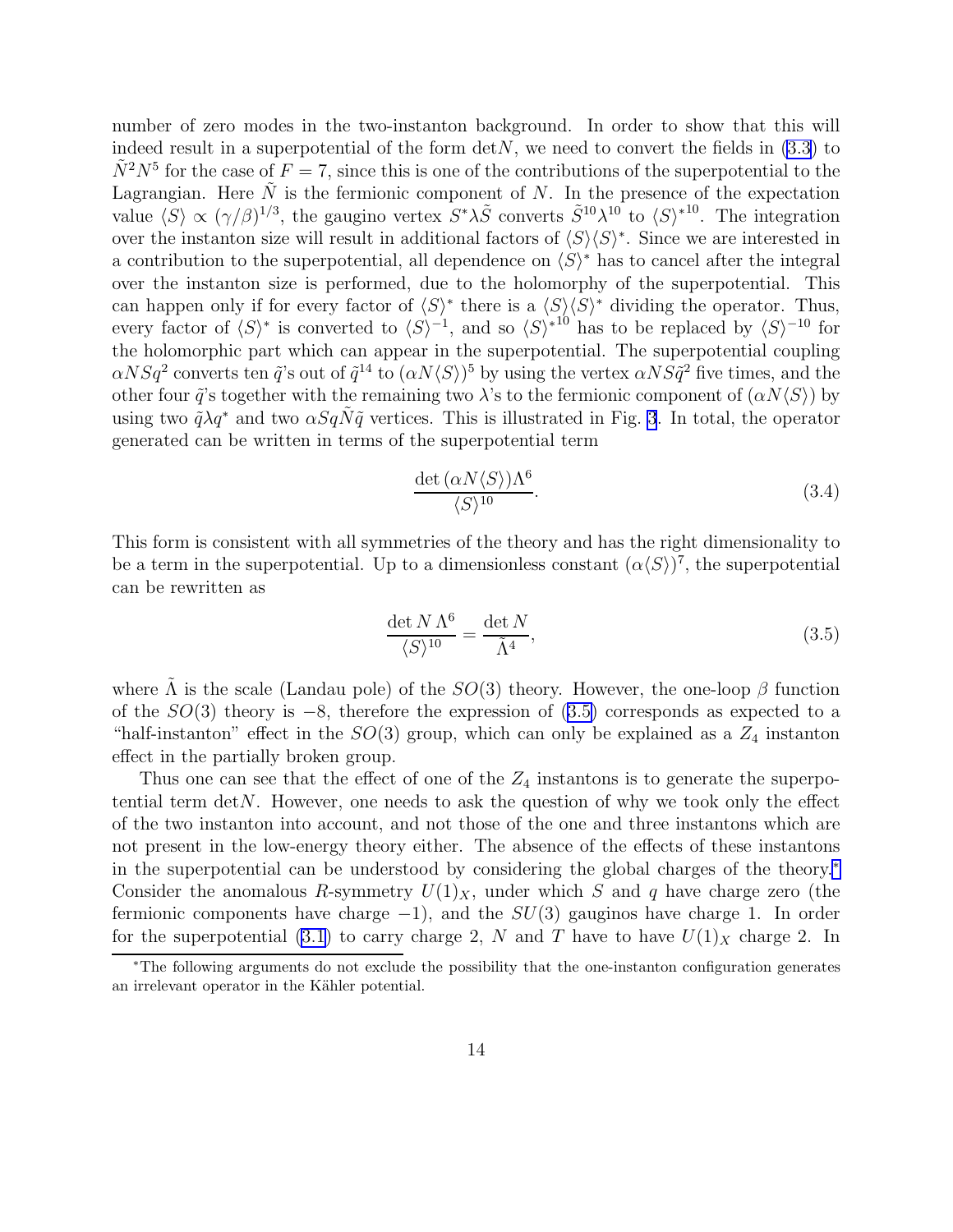number of zero modes in the two-instanton background. In order to show that this will indeed result in a superpotential of the form  $\det N$ , we need to convert the fields in [\(3.3](#page-13-0)) to  $\tilde{N}^2 N^5$  for the case of  $F = 7$ , since this is one of the contributions of the superpotential to the Lagrangian. Here  $\tilde{N}$  is the fermionic component of N. In the presence of the expectation value  $\langle S \rangle \propto (\gamma/\beta)^{1/3}$ , the gaugino vertex  $S^* \lambda \tilde{S}$  converts  $\tilde{S}^{10} \lambda^{10}$  to  $\langle S \rangle^{*10}$ . The integration over the instanton size will result in additional factors of  $\langle S \rangle \langle S \rangle^*$ . Since we are interested in a contribution to the superpotential, all dependence on  $\langle S \rangle^*$  has to cancel after the integral over the instanton size is performed, due to the holomorphy of the superpotential. This can happen only if for every factor of  $\langle S \rangle^*$  there is a  $\langle S \rangle \langle S \rangle^*$  dividing the operator. Thus, every factor of  $\langle S \rangle^*$  is converted to  $\langle S \rangle^{-1}$ , and so  $\langle S \rangle^{*^{10}}$  has to be replaced by  $\langle S \rangle^{-10}$  for the holomorphic part which can appear in the superpotential. The superpotential coupling  $\alpha NSq^2$  converts ten  $\tilde{q}$ 's out of  $\tilde{q}^{14}$  to  $(\alpha N\langle S\rangle)^5$  by using the vertex  $\alpha NSq^2$  five times, and the other four  $\tilde{q}$ 's together with the remaining two  $\lambda$ 's to the fermionic component of  $(\alpha N\langle S\rangle)$  by using two  $\tilde{q}\lambda q^*$  and two  $\alpha SqN\tilde{q}$  vertices. This is illustrated in Fig. [3](#page-15-0). In total, the operator generated can be written in terms of the superpotential term

$$
\frac{\det\left(\alpha N \langle S \rangle\right) \Lambda^6}{\langle S \rangle^{10}}.\tag{3.4}
$$

This form is consistent with all symmetries of the theory and has the right dimensionality to be a term in the superpotential. Up to a dimensionless constant  $(\alpha \langle S \rangle)^7$ , the superpotential can be rewritten as

$$
\frac{\det N \Lambda^6}{\langle S \rangle^{10}} = \frac{\det N}{\tilde{\Lambda}^4},\tag{3.5}
$$

where  $\Lambda$  is the scale (Landau pole) of the  $SO(3)$  theory. However, the one-loop  $\beta$  function of the  $SO(3)$  theory is  $-8$ , therefore the expression of  $(3.5)$  corresponds as expected to a "half-instanton" effect in the  $SO(3)$  group, which can only be explained as a  $Z_4$  instanton effect in the partially broken group.

Thus one can see that the effect of one of the  $Z_4$  instantons is to generate the superpotential term detN. However, one needs to ask the question of why we took only the effect of the two instanton into account, and not those of the one and three instantons which are not present in the low-energy theory either. The absence of the effects of these instantons in the superpotential can be understood by considering the global charges of the theory.<sup>∗</sup> Consider the anomalous R-symmetry  $U(1)_X$ , under which S and q have charge zero (the fermionic components have charge  $-1$ ), and the  $SU(3)$  gauginos have charge 1. In order for the superpotential [\(3.1](#page-13-0)) to carry charge 2, N and T have to have  $U(1)_X$  charge 2. In

<sup>∗</sup>The following arguments do not exclude the possibility that the one-instanton configuration generates an irrelevant operator in the Kähler potential.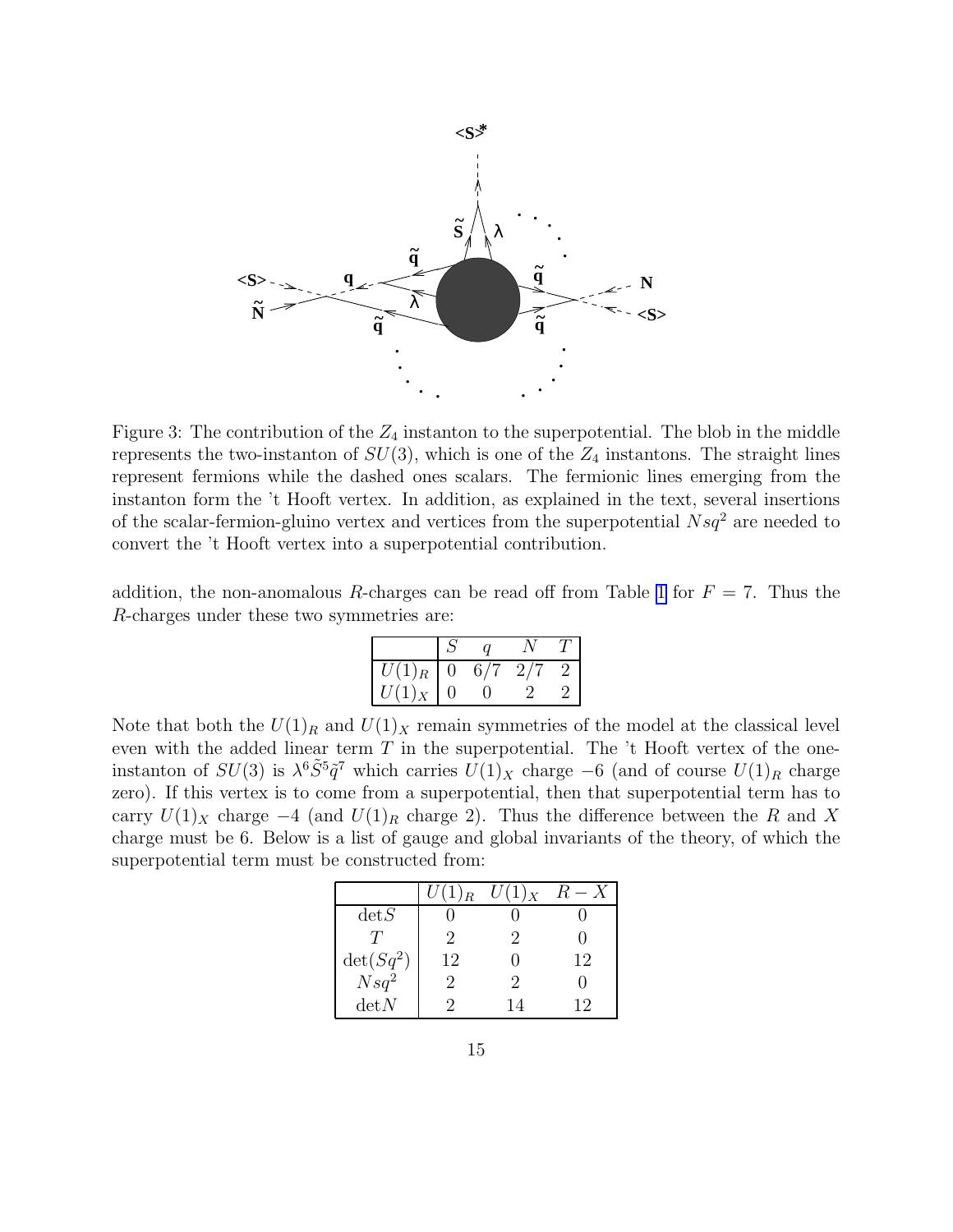<span id="page-15-0"></span>

Figure 3: The contribution of the  $Z_4$  instanton to the superpotential. The blob in the middle represents the two-instanton of  $SU(3)$ , which is one of the  $Z_4$  instantons. The straight lines represent fermions while the dashed ones scalars. The fermionic lines emerging from the instanton form the 't Hooft vertex. In addition, as explained in the text, several insertions of the scalar-fermion-gluino vertex and vertices from the superpotential  $Nsq^2$  are needed to convert the 't Hooft vertex into a superpotential contribution.

addition, the non-anomalous R-charges can be read off from Table [1](#page-13-0) for  $F = 7$ . Thus the R-charges under these two symmetries are:

| $\overline{U}(1)_R$  ' | $\theta$ | 6/7 | 2/7 |  |
|------------------------|----------|-----|-----|--|
| $U(1)_X$   0           |          |     |     |  |

Note that both the  $U(1)_R$  and  $U(1)_X$  remain symmetries of the model at the classical level even with the added linear term  $T$  in the superpotential. The  $'t$  Hooft vertex of the oneinstanton of  $SU(3)$  is  $\lambda^6 \tilde{S}^5 \tilde{q}^7$  which carries  $U(1)_X$  charge −6 (and of course  $U(1)_R$  charge zero). If this vertex is to come from a superpotential, then that superpotential term has to carry  $U(1)_X$  charge  $-4$  (and  $U(1)_R$  charge 2). Thus the difference between the R and X charge must be 6. Below is a list of gauge and global invariants of the theory, of which the superpotential term must be constructed from:

|                            | $U(1)_R$ | $U(1)_X$ | $R-X$ |
|----------------------------|----------|----------|-------|
| detS                       |          |          |       |
| T                          | 9        | '2       |       |
|                            | 12       |          | 12    |
| $\frac{\det(Sq^2)}{Nsq^2}$ | 9        | 9        |       |
| detN                       |          | 14       | 19    |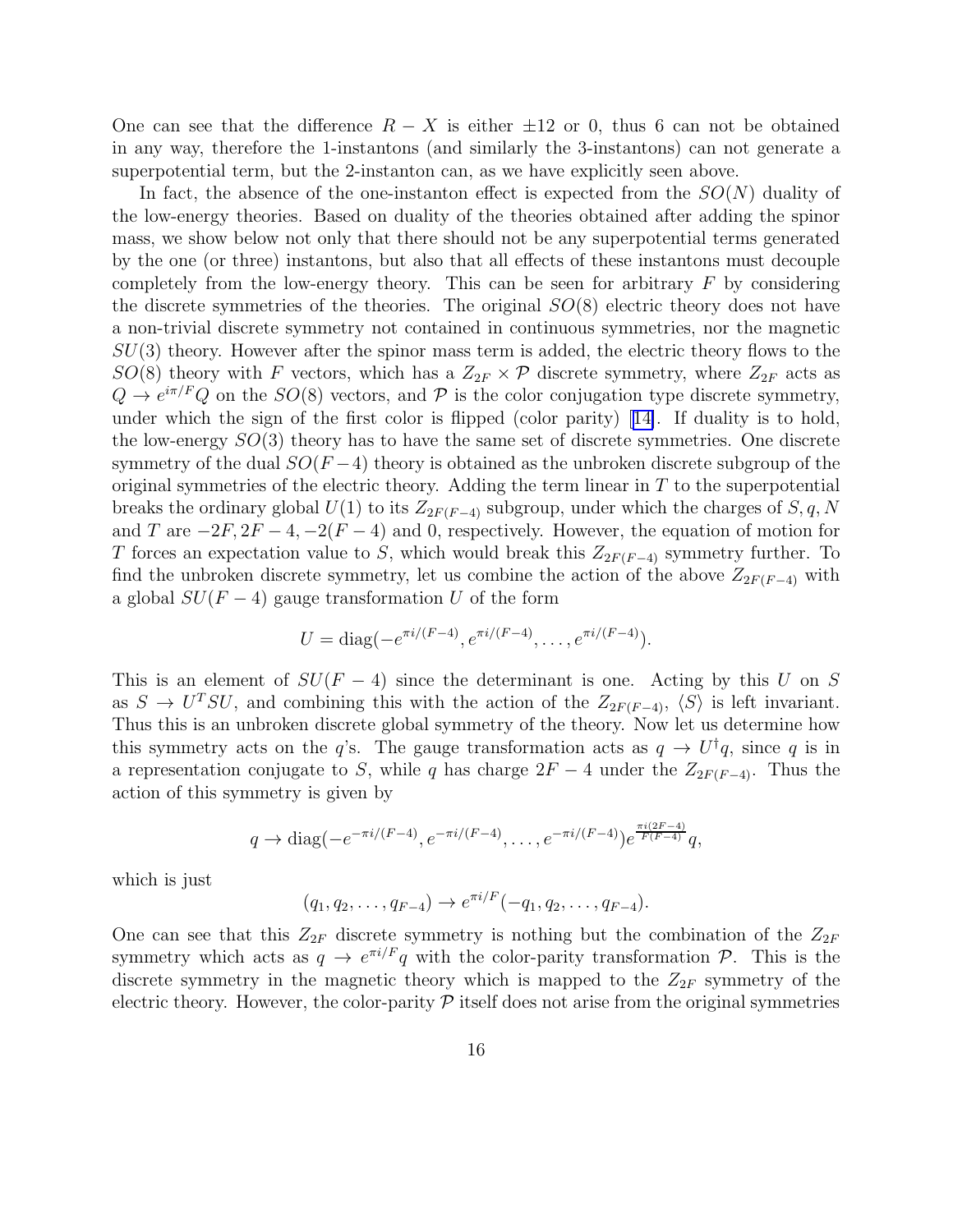One can see that the difference  $R - X$  is either  $\pm 12$  or 0, thus 6 can not be obtained in any way, therefore the 1-instantons (and similarly the 3-instantons) can not generate a superpotential term, but the 2-instanton can, as we have explicitly seen above.

In fact, the absence of the one-instanton effect is expected from the  $SO(N)$  duality of the low-energy theories. Based on duality of the theories obtained after adding the spinor mass, we show below not only that there should not be any superpotential terms generated by the one (or three) instantons, but also that all effects of these instantons must decouple completely from the low-energy theory. This can be seen for arbitrary  $F$  by considering the discrete symmetries of the theories. The original  $SO(8)$  electric theory does not have a non-trivial discrete symmetry not contained in continuous symmetries, nor the magnetic  $SU(3)$  theory. However after the spinor mass term is added, the electric theory flows to the  $SO(8)$  theory with F vectors, which has a  $Z_{2F} \times \mathcal{P}$  discrete symmetry, where  $Z_{2F}$  acts as  $Q \to e^{i\pi/F}Q$  on the  $SO(8)$  vectors, and  $\mathcal P$  is the color conjugation type discrete symmetry, under which the sign of the first color is flipped (color parity)[[14\]](#page-29-0). If duality is to hold, the low-energy SO(3) theory has to have the same set of discrete symmetries. One discrete symmetry of the dual  $SO(F-4)$  theory is obtained as the unbroken discrete subgroup of the original symmetries of the electric theory. Adding the term linear in  $T$  to the superpotential breaks the ordinary global  $U(1)$  to its  $Z_{2F(F-4)}$  subgroup, under which the charges of  $S, q, N$ and T are  $-2F, 2F-4, -2(F-4)$  and 0, respectively. However, the equation of motion for T forces an expectation value to S, which would break this  $Z_{2F(F-4)}$  symmetry further. To find the unbroken discrete symmetry, let us combine the action of the above  $Z_{2F(F-4)}$  with a global  $SU(F-4)$  gauge transformation U of the form

$$
U = \text{diag}(-e^{\pi i/(F-4)}, e^{\pi i/(F-4)}, \dots, e^{\pi i/(F-4)}).
$$

This is an element of  $SU(F-4)$  since the determinant is one. Acting by this U on S as  $S \to U^{T}SU$ , and combining this with the action of the  $Z_{2F(F-4)}$ ,  $\langle S \rangle$  is left invariant. Thus this is an unbroken discrete global symmetry of the theory. Now let us determine how this symmetry acts on the q's. The gauge transformation acts as  $q \to U^{\dagger}q$ , since q is in a representation conjugate to S, while q has charge  $2F - 4$  under the  $Z_{2F(F-4)}$ . Thus the action of this symmetry is given by

$$
q \to
$$
 diag $(-e^{-\pi i/(F-4)}, e^{-\pi i/(F-4)}, \dots, e^{-\pi i/(F-4)})e^{\frac{\pi i(2F-4)}{F(F-4)}}q$ ,

which is just

$$
(q_1, q_2, \ldots, q_{F-4}) \rightarrow e^{\pi i/F}(-q_1, q_2, \ldots, q_{F-4}).
$$

One can see that this  $Z_{2F}$  discrete symmetry is nothing but the combination of the  $Z_{2F}$ symmetry which acts as  $q \to e^{\pi i/F}q$  with the color-parity transformation  $P$ . This is the discrete symmetry in the magnetic theory which is mapped to the  $Z_{2F}$  symmetry of the electric theory. However, the color-parity  $P$  itself does not arise from the original symmetries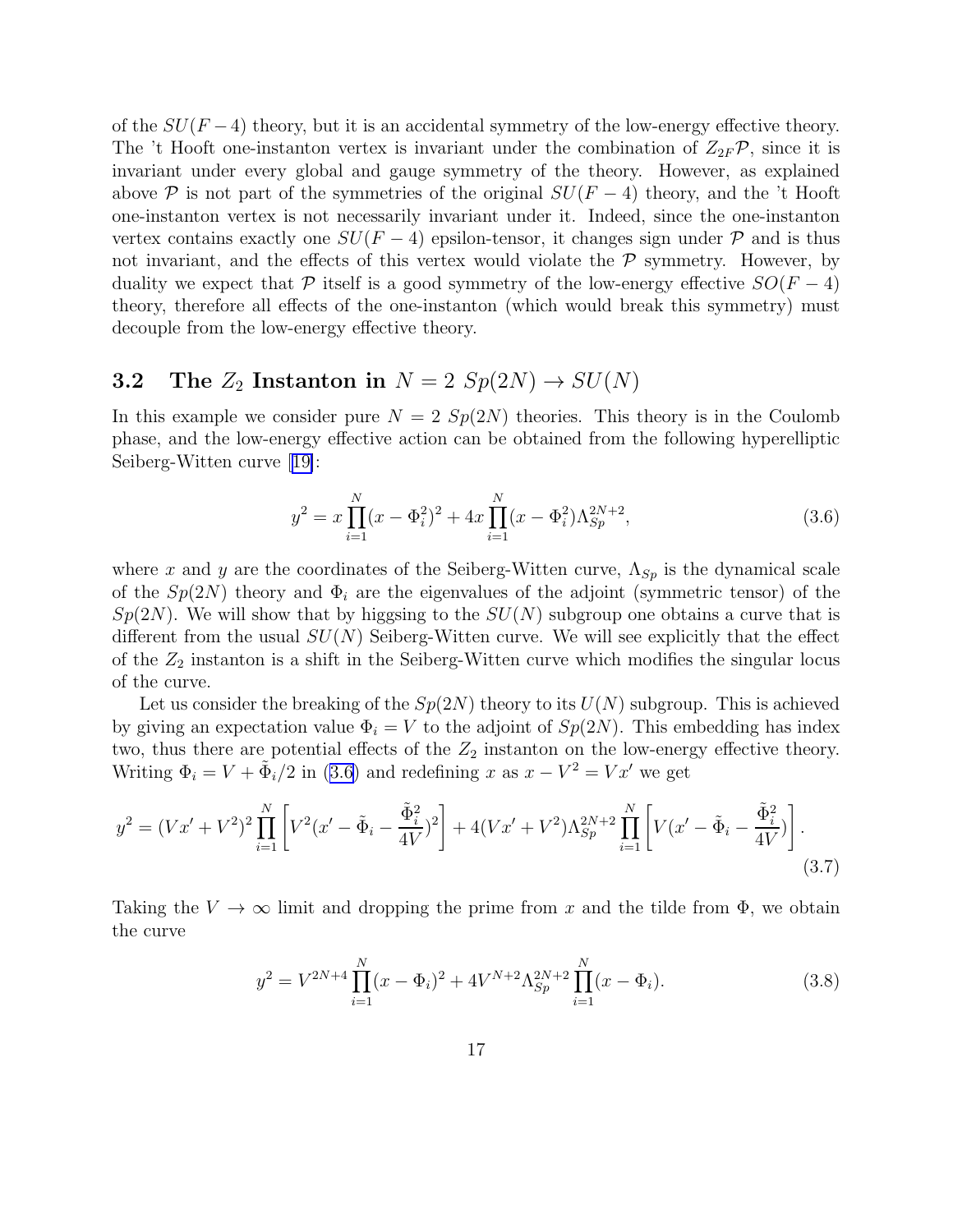<span id="page-17-0"></span>of the  $SU(F-4)$  theory, but it is an accidental symmetry of the low-energy effective theory. The 't Hooft one-instanton vertex is invariant under the combination of  $Z_{2F}\mathcal{P}$ , since it is invariant under every global and gauge symmetry of the theory. However, as explained above P is not part of the symmetries of the original  $SU(F-4)$  theory, and the 't Hooft one-instanton vertex is not necessarily invariant under it. Indeed, since the one-instanton vertex contains exactly one  $SU(F-4)$  epsilon-tensor, it changes sign under  $\mathcal P$  and is thus not invariant, and the effects of this vertex would violate the  $\mathcal P$  symmetry. However, by duality we expect that P itself is a good symmetry of the low-energy effective  $SO(F-4)$ theory, therefore all effects of the one-instanton (which would break this symmetry) must decouple from the low-energy effective theory.

### **3.2** The  $Z_2$  Instanton in  $N = 2$   $Sp(2N) \rightarrow SU(N)$

In this example we consider pure  $N = 2 Sp(2N)$  theories. This theory is in the Coulomb phase, and the low-energy effective action can be obtained from the following hyperelliptic Seiberg-Witten curve[[19\]](#page-30-0):

$$
y^{2} = x \prod_{i=1}^{N} (x - \Phi_{i}^{2})^{2} + 4x \prod_{i=1}^{N} (x - \Phi_{i}^{2}) \Lambda_{Sp}^{2N+2},
$$
\n(3.6)

where x and y are the coordinates of the Seiberg-Witten curve,  $\Lambda_{Sp}$  is the dynamical scale of the  $Sp(2N)$  theory and  $\Phi_i$  are the eigenvalues of the adjoint (symmetric tensor) of the  $Sp(2N)$ . We will show that by higgsing to the  $SU(N)$  subgroup one obtains a curve that is different from the usual  $SU(N)$  Seiberg-Witten curve. We will see explicitly that the effect of the  $Z_2$  instanton is a shift in the Seiberg-Witten curve which modifies the singular locus of the curve.

Let us consider the breaking of the  $Sp(2N)$  theory to its  $U(N)$  subgroup. This is achieved by giving an expectation value  $\Phi_i = V$  to the adjoint of  $Sp(2N)$ . This embedding has index two, thus there are potential effects of the  $Z_2$  instanton on the low-energy effective theory. Writing  $\Phi_i = V + \tilde{\Phi}_i/2$  in (3.6) and redefining x as  $x - V^2 = Vx'$  we get

$$
y^{2} = (Vx' + V^{2})^{2} \prod_{i=1}^{N} \left[ V^{2}(x' - \tilde{\Phi}_{i} - \frac{\tilde{\Phi}_{i}^{2}}{4V})^{2} \right] + 4(Vx' + V^{2}) \Lambda_{Sp}^{2N+2} \prod_{i=1}^{N} \left[ V(x' - \tilde{\Phi}_{i} - \frac{\tilde{\Phi}_{i}^{2}}{4V}) \right].
$$
\n(3.7)

Taking the  $V \to \infty$  limit and dropping the prime from x and the tilde from  $\Phi$ , we obtain the curve

$$
y^{2} = V^{2N+4} \prod_{i=1}^{N} (x - \Phi_{i})^{2} + 4V^{N+2} \Lambda_{Sp}^{2N+2} \prod_{i=1}^{N} (x - \Phi_{i}).
$$
\n(3.8)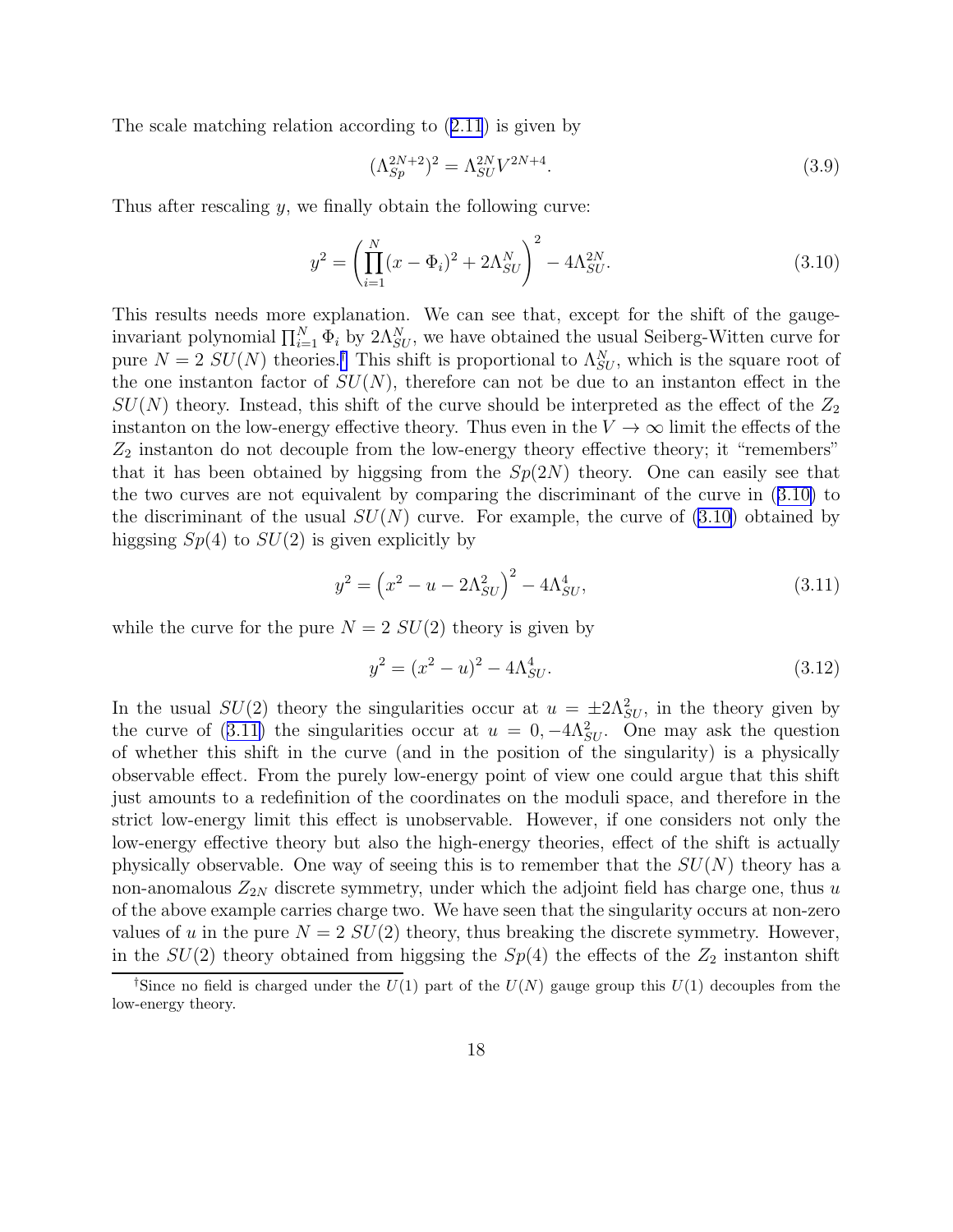<span id="page-18-0"></span>The scale matching relation according to([2.11](#page-6-0)) is given by

$$
(\Lambda_{Sp}^{2N+2})^2 = \Lambda_{SU}^{2N} V^{2N+4}.
$$
\n(3.9)

Thus after rescaling  $y$ , we finally obtain the following curve:

$$
y^2 = \left(\prod_{i=1}^N (x - \Phi_i)^2 + 2\Lambda_{SU}^N\right)^2 - 4\Lambda_{SU}^{2N}.
$$
 (3.10)

This results needs more explanation. We can see that, except for the shift of the gaugeinvariant polynomial  $\prod_{i=1}^{N} \Phi_i$  by  $2\Lambda_{SU}^N$ , we have obtained the usual Seiberg-Witten curve for pure  $N = 2$   $SU(N)$  theories.<sup>†</sup> This shift is proportional to  $\Lambda_{SU}^N$ , which is the square root of the one instanton factor of  $SU(N)$ , therefore can not be due to an instanton effect in the  $SU(N)$  theory. Instead, this shift of the curve should be interpreted as the effect of the  $Z_2$ instanton on the low-energy effective theory. Thus even in the  $V \to \infty$  limit the effects of the  $Z_2$  instanton do not decouple from the low-energy theory effective theory; it "remembers" that it has been obtained by higgsing from the  $Sp(2N)$  theory. One can easily see that the two curves are not equivalent by comparing the discriminant of the curve in (3.10) to the discriminant of the usual  $SU(N)$  curve. For example, the curve of (3.10) obtained by higgsing  $Sp(4)$  to  $SU(2)$  is given explicitly by

$$
y^2 = \left(x^2 - u - 2\Lambda_{SU}^2\right)^2 - 4\Lambda_{SU}^4,\tag{3.11}
$$

while the curve for the pure  $N = 2 SU(2)$  theory is given by

$$
y^2 = (x^2 - u)^2 - 4\Lambda_{SU}^4.
$$
\n(3.12)

In the usual  $SU(2)$  theory the singularities occur at  $u = \pm 2\Lambda_{SU}^2$ , in the theory given by the curve of (3.11) the singularities occur at  $u = 0, -4\Lambda_{SU}^2$ . One may ask the question of whether this shift in the curve (and in the position of the singularity) is a physically observable effect. From the purely low-energy point of view one could argue that this shift just amounts to a redefinition of the coordinates on the moduli space, and therefore in the strict low-energy limit this effect is unobservable. However, if one considers not only the low-energy effective theory but also the high-energy theories, effect of the shift is actually physically observable. One way of seeing this is to remember that the  $SU(N)$  theory has a non-anomalous  $Z_{2N}$  discrete symmetry, under which the adjoint field has charge one, thus u of the above example carries charge two. We have seen that the singularity occurs at non-zero values of u in the pure  $N = 2$   $SU(2)$  theory, thus breaking the discrete symmetry. However, in the  $SU(2)$  theory obtained from higgsing the  $Sp(4)$  the effects of the  $Z_2$  instanton shift

<sup>&</sup>lt;sup>†</sup>Since no field is charged under the  $U(1)$  part of the  $U(N)$  gauge group this  $U(1)$  decouples from the low-energy theory.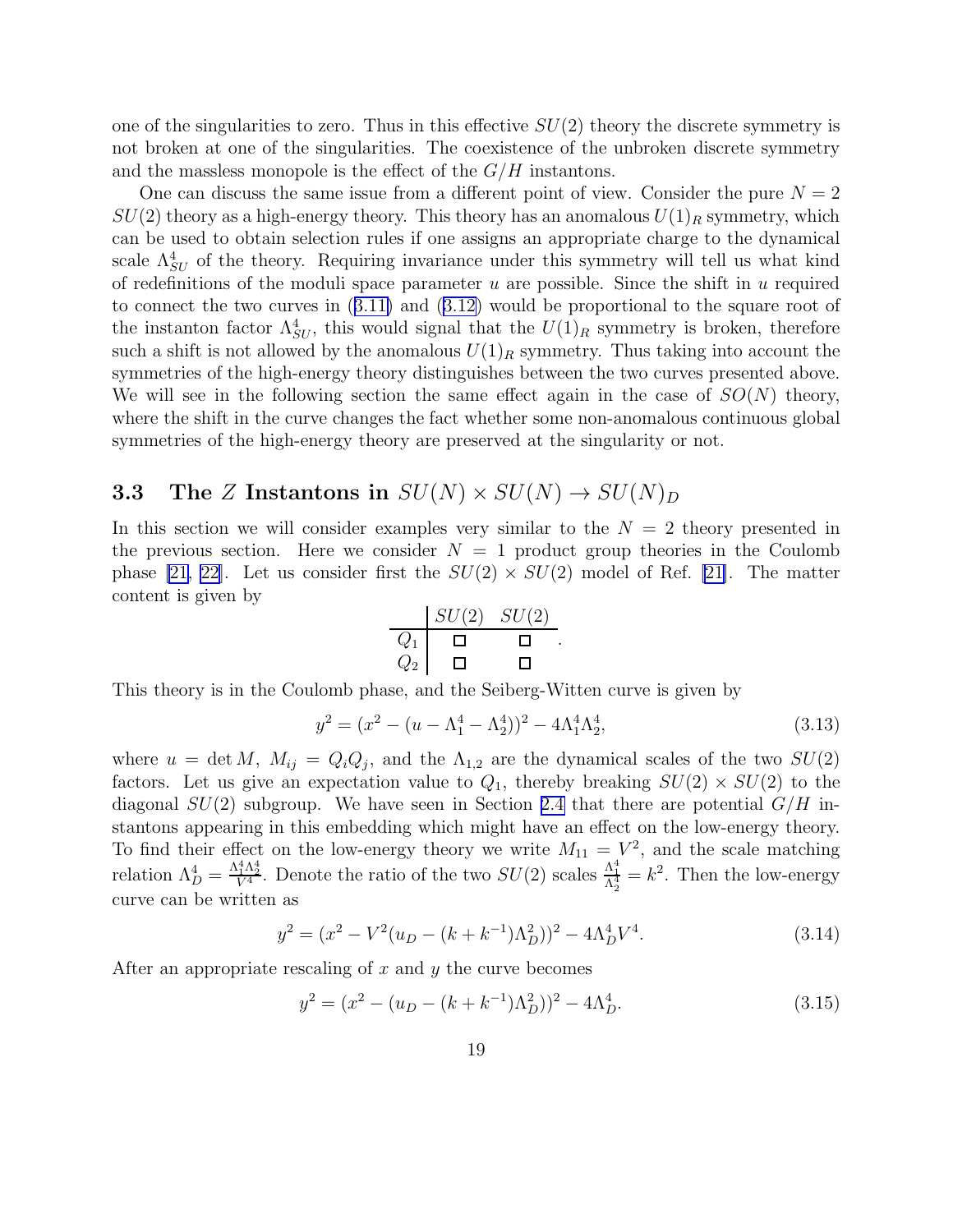one of the singularities to zero. Thus in this effective  $SU(2)$  theory the discrete symmetry is not broken at one of the singularities. The coexistence of the unbroken discrete symmetry and the massless monopole is the effect of the  $G/H$  instantons.

One can discuss the same issue from a different point of view. Consider the pure  $N = 2$  $SU(2)$  theory as a high-energy theory. This theory has an anomalous  $U(1)<sub>R</sub>$  symmetry, which can be used to obtain selection rules if one assigns an appropriate charge to the dynamical scale  $\Lambda_{SU}^4$  of the theory. Requiring invariance under this symmetry will tell us what kind of redefinitions of the moduli space parameter  $u$  are possible. Since the shift in  $u$  required to connect the two curves in([3.11\)](#page-18-0) and([3.12\)](#page-18-0) would be proportional to the square root of the instanton factor  $\Lambda_{SU}^4$ , this would signal that the  $U(1)_R$  symmetry is broken, therefore such a shift is not allowed by the anomalous  $U(1)_R$  symmetry. Thus taking into account the symmetries of the high-energy theory distinguishes between the two curves presented above. We will see in the following section the same effect again in the case of  $SO(N)$  theory, where the shift in the curve changes the fact whether some non-anomalous continuous global symmetries of the high-energy theory are preserved at the singularity or not.

### 3.3 The Z Instantons in  $SU(N) \times SU(N) \rightarrow SU(N)_D$

In this section we will consider examples very similar to the  $N = 2$  theory presented in the previous section. Here we consider  $N = 1$  product group theories in the Coulomb phase [\[21, 22\]](#page-30-0). Let us consider first the  $SU(2) \times SU(2)$  model of Ref. [\[21\]](#page-30-0). The matter content is given by

$$
\begin{array}{c|cc}\nSU(2) & SU(2) \\
\hline\nQ_1 & \square & \square \\
Q_2 & \square & \square\n\end{array}.
$$

This theory is in the Coulomb phase, and the Seiberg-Witten curve is given by

$$
y^2 = (x^2 - (u - \Lambda_1^4 - \Lambda_2^4))^2 - 4\Lambda_1^4 \Lambda_2^4, \tag{3.13}
$$

where  $u = \det M$ ,  $M_{ij} = Q_i Q_j$ , and the  $\Lambda_{1,2}$  are the dynamical scales of the two  $SU(2)$ factors. Let us give an expectation value to  $Q_1$ , thereby breaking  $SU(2) \times SU(2)$  to the diagonal  $SU(2)$  subgroup. We have seen in Section [2.4](#page-9-0) that there are potential  $G/H$  instantons appearing in this embedding which might have an effect on the low-energy theory. To find their effect on the low-energy theory we write  $M_{11} = V^2$ , and the scale matching relation  $\Lambda_D^4 = \frac{\Lambda_1^4 \Lambda_2^4}{V^4}$ . Denote the ratio of the two  $SU(2)$  scales  $\frac{\Lambda_1^4}{\Lambda_2^4} = k^2$ . Then the low-energy curve can be written as

$$
y^{2} = (x^{2} - V^{2}(u_{D} - (k + k^{-1})\Lambda_{D}^{2}))^{2} - 4\Lambda_{D}^{4}V^{4}.
$$
\n(3.14)

After an appropriate rescaling of  $x$  and  $y$  the curve becomes

$$
y^{2} = (x^{2} - (u_{D} - (k + k^{-1})\Lambda_{D}^{2}))^{2} - 4\Lambda_{D}^{4}.
$$
\n(3.15)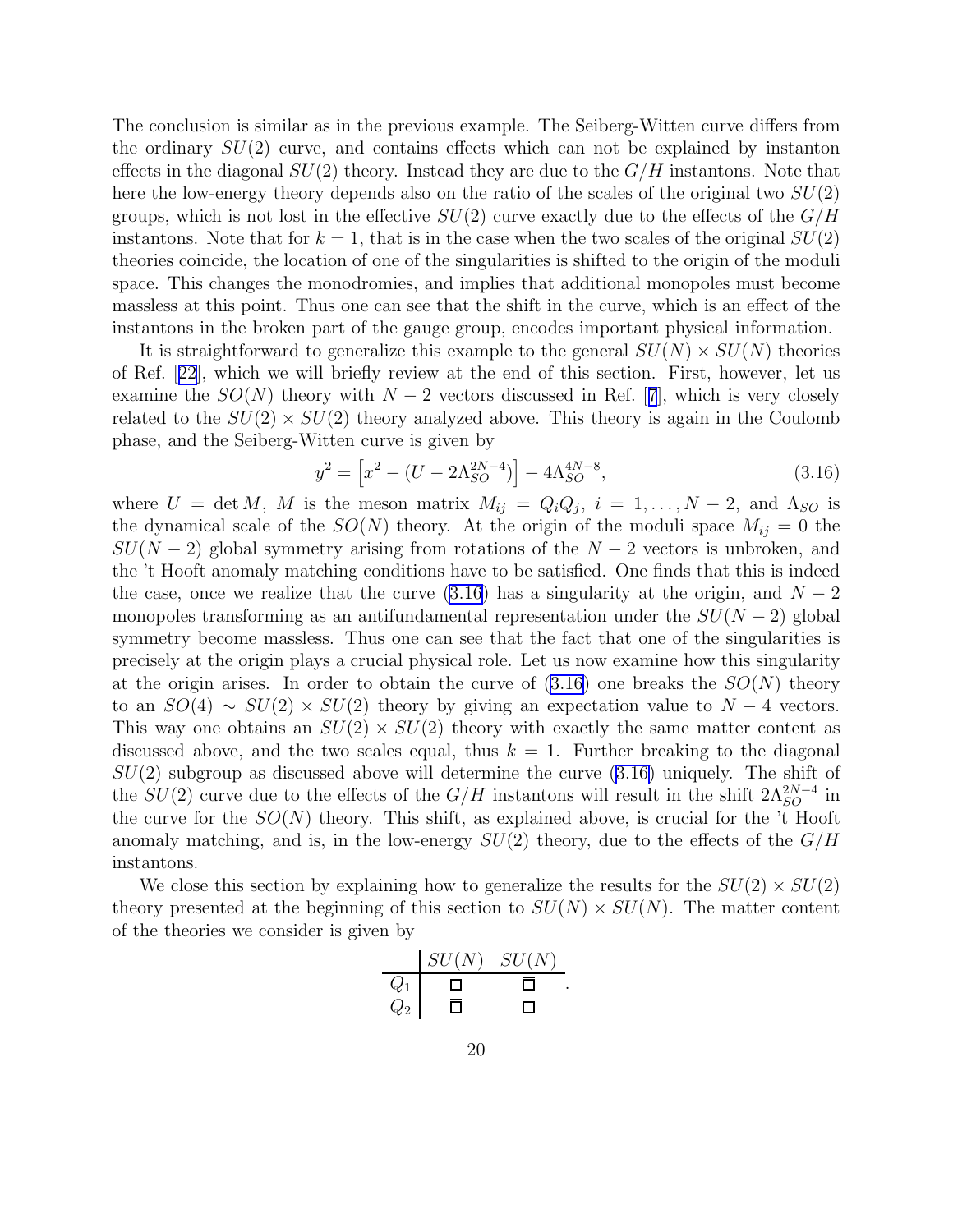The conclusion is similar as in the previous example. The Seiberg-Witten curve differs from the ordinary  $SU(2)$  curve, and contains effects which can not be explained by instanton effects in the diagonal  $SU(2)$  theory. Instead they are due to the  $G/H$  instantons. Note that here the low-energy theory depends also on the ratio of the scales of the original two  $SU(2)$ groups, which is not lost in the effective  $SU(2)$  curve exactly due to the effects of the  $G/H$ instantons. Note that for  $k = 1$ , that is in the case when the two scales of the original  $SU(2)$ theories coincide, the location of one of the singularities is shifted to the origin of the moduli space. This changes the monodromies, and implies that additional monopoles must become massless at this point. Thus one can see that the shift in the curve, which is an effect of the instantons in the broken part of the gauge group, encodes important physical information.

It is straightforward to generalize this example to the general  $SU(N) \times SU(N)$  theories of Ref.[[22](#page-30-0)], which we will briefly review at the end of this section. First, however, let us examinethe  $SO(N)$  theory with  $N-2$  vectors discussed in Ref. [[7](#page-29-0)], which is very closely related to the  $SU(2) \times SU(2)$  theory analyzed above. This theory is again in the Coulomb phase, and the Seiberg-Witten curve is given by

$$
y^{2} = \left[x^{2} - (U - 2\Lambda_{SO}^{2N-4})\right] - 4\Lambda_{SO}^{4N-8},\tag{3.16}
$$

where  $U = \det M$ , M is the meson matrix  $M_{ij} = Q_i Q_j$ ,  $i = 1, ..., N-2$ , and  $\Lambda_{SO}$  is the dynamical scale of the  $SO(N)$  theory. At the origin of the moduli space  $M_{ij} = 0$  the  $SU(N-2)$  global symmetry arising from rotations of the  $N-2$  vectors is unbroken, and the 't Hooft anomaly matching conditions have to be satisfied. One finds that this is indeed the case, once we realize that the curve  $(3.16)$  has a singularity at the origin, and  $N-2$ monopoles transforming as an antifundamental representation under the  $SU(N-2)$  global symmetry become massless. Thus one can see that the fact that one of the singularities is precisely at the origin plays a crucial physical role. Let us now examine how this singularity at the origin arises. In order to obtain the curve of  $(3.16)$  one breaks the  $SO(N)$  theory to an  $SO(4) \sim SU(2) \times SU(2)$  theory by giving an expectation value to  $N-4$  vectors. This way one obtains an  $SU(2) \times SU(2)$  theory with exactly the same matter content as discussed above, and the two scales equal, thus  $k = 1$ . Further breaking to the diagonal  $SU(2)$  subgroup as discussed above will determine the curve  $(3.16)$  uniquely. The shift of the  $SU(2)$  curve due to the effects of the  $G/H$  instantons will result in the shift  $2\Lambda_{SO}^{2N-4}$  in the curve for the  $SO(N)$  theory. This shift, as explained above, is crucial for the 't Hooft anomaly matching, and is, in the low-energy  $SU(2)$  theory, due to the effects of the  $G/H$ instantons.

We close this section by explaining how to generalize the results for the  $SU(2) \times SU(2)$ theory presented at the beginning of this section to  $SU(N) \times SU(N)$ . The matter content of the theories we consider is given by

|       | $SU(N)$ $SU(N)$ |  |
|-------|-----------------|--|
| $Q_1$ |                 |  |
| $Q_2$ |                 |  |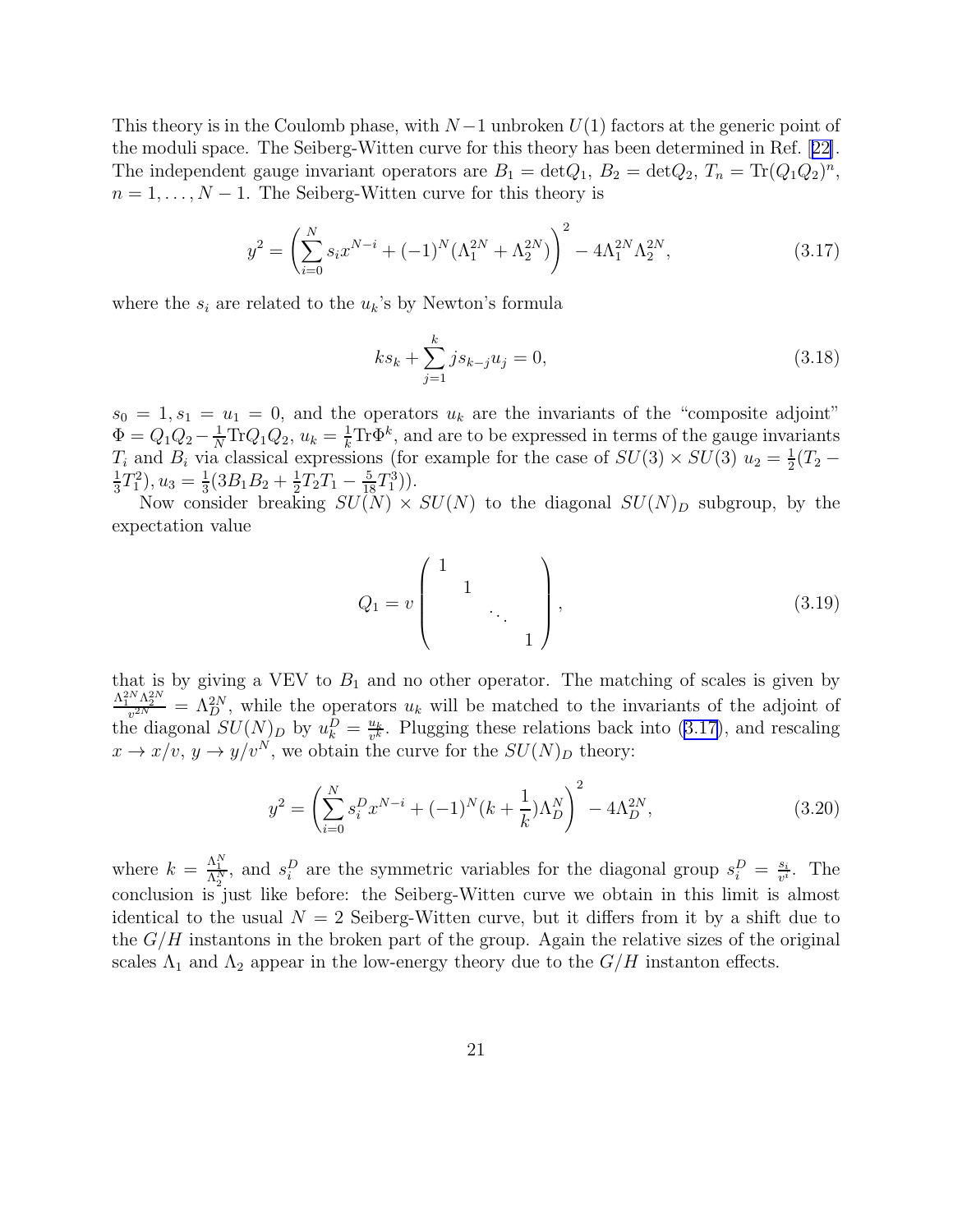This theory is in the Coulomb phase, with  $N-1$  unbroken  $U(1)$  factors at the generic point of the moduli space. The Seiberg-Witten curve for this theory has been determined in Ref.[[22\]](#page-30-0). The independent gauge invariant operators are  $B_1 = \det Q_1$ ,  $B_2 = \det Q_2$ ,  $T_n = \text{Tr}(Q_1 Q_2)^n$ ,  $n = 1, \ldots, N - 1$ . The Seiberg-Witten curve for this theory is

$$
y^{2} = \left(\sum_{i=0}^{N} s_{i} x^{N-i} + (-1)^{N} (\Lambda_{1}^{2N} + \Lambda_{2}^{2N})\right)^{2} - 4\Lambda_{1}^{2N} \Lambda_{2}^{2N},
$$
\n(3.17)

where the  $s_i$  are related to the  $u_k$ 's by Newton's formula

$$
ks_k + \sum_{j=1}^k j s_{k-j} u_j = 0,
$$
\n(3.18)

 $s_0 = 1, s_1 = u_1 = 0$ , and the operators  $u_k$  are the invariants of the "composite adjoint"  $\Phi = Q_1 Q_2 - \frac{1}{N} \text{Tr} Q_1 Q_2$ ,  $u_k = \frac{1}{k} \text{Tr} \Phi^k$ , and are to be expressed in terms of the gauge invariants  $T_i$  and  $B_i$  via classical expressions (for example for the case of  $SU(3) \times SU(3)$   $u_2 = \frac{1}{2}$  $rac{1}{2}(T_2 -$ 1  $\frac{1}{3}T_1^2$ ,  $u_3 = \frac{1}{3}$  $\frac{1}{3}(3B_1B_2+\frac{1}{2})$  $\frac{1}{2}T_2T_1-\frac{5}{18}T_1^3).$ 

Now consider breaking  $SU(N) \times SU(N)$  to the diagonal  $SU(N)_D$  subgroup, by the expectation value

$$
Q_1 = v \begin{pmatrix} 1 & & & \\ & 1 & & \\ & & \ddots & \\ & & & 1 \end{pmatrix}, \tag{3.19}
$$

that is by giving a VEV to  $B_1$  and no other operator. The matching of scales is given by  $\frac{\Lambda_1^{2N}\Lambda_2^{2N}}{v^{2N}} = \Lambda_D^{2N}$ , while the operators  $u_k$  will be matched to the invariants of the adjoint of the diagonal  $SU(N)_D$  by  $u_k^D = \frac{u_k}{v^k}$  $\frac{u_k}{v^k}$ . Plugging these relations back into (3.17), and rescaling  $x \to x/v, y \to y/v^N$ , we obtain the curve for the  $SU(N)_D$  theory:

$$
y^{2} = \left(\sum_{i=0}^{N} s_{i}^{D} x^{N-i} + (-1)^{N} (k + \frac{1}{k}) \Lambda_{D}^{N}\right)^{2} - 4\Lambda_{D}^{2N},\tag{3.20}
$$

where  $k = \frac{\Lambda_1^N}{\Lambda_2^N}$ , and  $s_i^D$  are the symmetric variables for the diagonal group  $s_i^D = \frac{s_i}{v^i}$  $\frac{s_i}{v^i}$ . The conclusion is just like before: the Seiberg-Witten curve we obtain in this limit is almost identical to the usual  $N = 2$  Seiberg-Witten curve, but it differs from it by a shift due to the  $G/H$  instantons in the broken part of the group. Again the relative sizes of the original scales  $\Lambda_1$  and  $\Lambda_2$  appear in the low-energy theory due to the  $G/H$  instanton effects.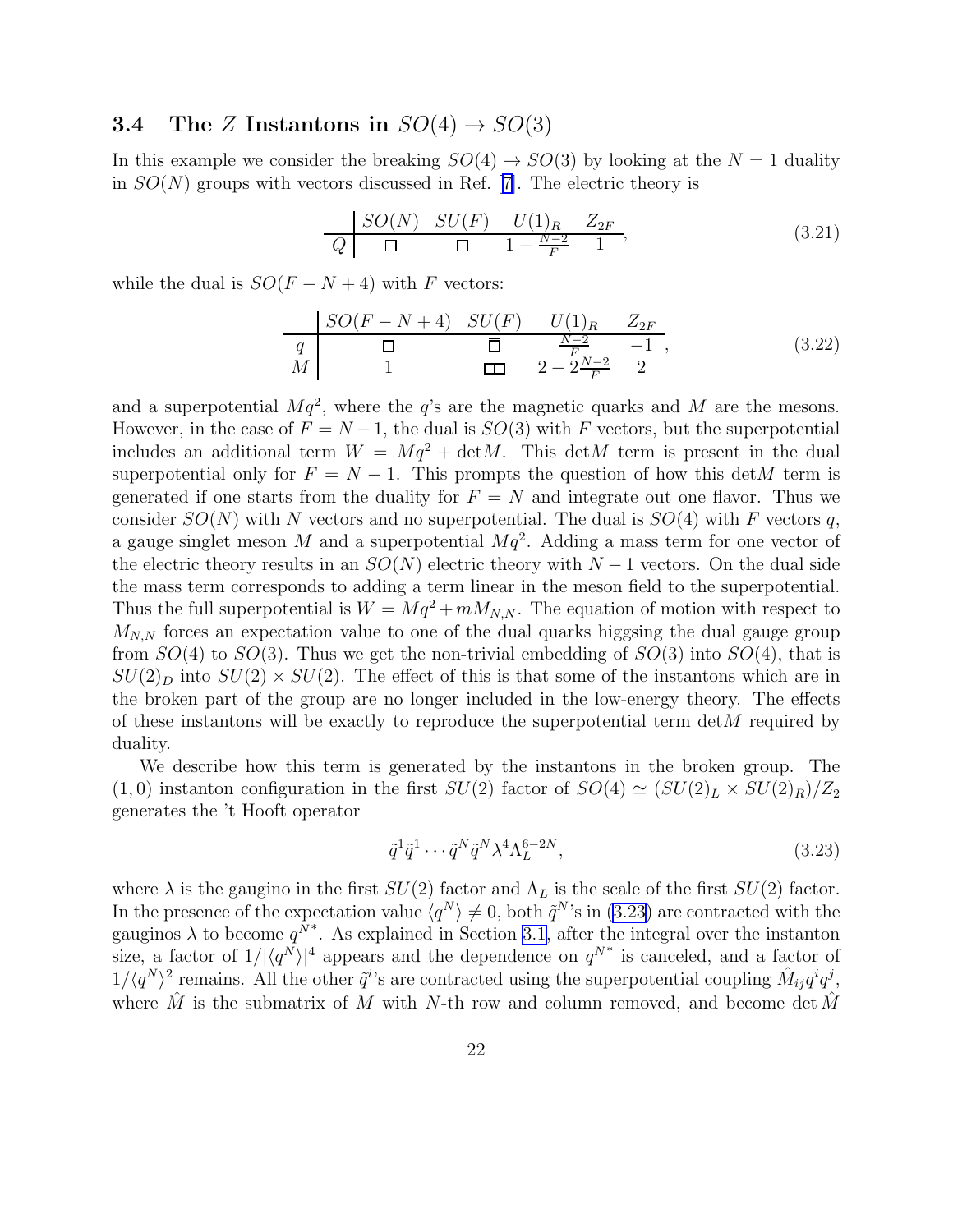### 3.4 The Z Instantons in  $SO(4) \rightarrow SO(3)$

In this example we consider the breaking  $SO(4) \rightarrow SO(3)$  by looking at the  $N = 1$  duality in  $SO(N)$  groups with vectors discussed in Ref. [\[7\]](#page-29-0). The electric theory is

$$
\frac{SO(N)}{Q} \quad \frac{SU(F)}{\Box} \quad \frac{U(1)_R}{\Box} \quad \frac{Z_{2F}}{F} \quad \frac{Z_{2F}}{\Box}, \tag{3.21}
$$

while the dual is  $SO(F - N + 4)$  with F vectors:

$$
\begin{array}{c|ccccc}\n & SO(F - N + 4) & SU(F) & U(1)_R & Z_{2F} \\
\hline\nq & \Box & \overline{\Box} & \frac{N-2}{F} & -1, \\
M & 1 & \Box & 2 - 2\frac{N-2}{F} & 2\n\end{array} \tag{3.22}
$$

and a superpotential  $Mq^2$ , where the q's are the magnetic quarks and M are the mesons. However, in the case of  $F = N - 1$ , the dual is  $SO(3)$  with F vectors, but the superpotential includes an additional term  $W = Mq^2 + detM$ . This detM term is present in the dual superpotential only for  $F = N - 1$ . This prompts the question of how this detM term is generated if one starts from the duality for  $F = N$  and integrate out one flavor. Thus we consider  $SO(N)$  with N vectors and no superpotential. The dual is  $SO(4)$  with F vectors q, a gauge singlet meson M and a superpotential  $Mq^2$ . Adding a mass term for one vector of the electric theory results in an  $SO(N)$  electric theory with  $N-1$  vectors. On the dual side the mass term corresponds to adding a term linear in the meson field to the superpotential. Thus the full superpotential is  $W = Mq^2 + mM_{N,N}$ . The equation of motion with respect to  $M_{N,N}$  forces an expectation value to one of the dual quarks higgsing the dual gauge group from  $SO(4)$  to  $SO(3)$ . Thus we get the non-trivial embedding of  $SO(3)$  into  $SO(4)$ , that is  $SU(2)_D$  into  $SU(2) \times SU(2)$ . The effect of this is that some of the instantons which are in the broken part of the group are no longer included in the low-energy theory. The effects of these instantons will be exactly to reproduce the superpotential term  $\det M$  required by duality.

We describe how this term is generated by the instantons in the broken group. The (1,0) instanton configuration in the first  $SU(2)$  factor of  $SO(4) \simeq (SU(2)_L \times SU(2)_R)/Z_2$ generates the 't Hooft operator

$$
\tilde{q}^1 \tilde{q}^1 \cdots \tilde{q}^N \tilde{q}^N \lambda^4 \Lambda_L^{6-2N},\tag{3.23}
$$

where  $\lambda$  is the gaugino in the first  $SU(2)$  factor and  $\Lambda_L$  is the scale of the first  $SU(2)$  factor. In the presence of the expectation value  $\langle q^N \rangle \neq 0$ , both  $\tilde{q}^N$ 's in (3.23) are contracted with the gauginos  $\lambda$  to become  $q^{\tilde{N}^*}$ . As explained in Section [3.1,](#page-12-0) after the integral over the instanton size, a factor of  $1/|\langle q^N \rangle|^4$  appears and the dependence on  $q^{N^*}$  is canceled, and a factor of  $1/\langle q^N\rangle^2$  remains. All the other  $\tilde{q}^i$ 's are contracted using the superpotential coupling  $\hat{M}_{ij}q^iq^j$ , where  $\hat{M}$  is the submatrix of M with N-th row and column removed, and become det  $\hat{M}$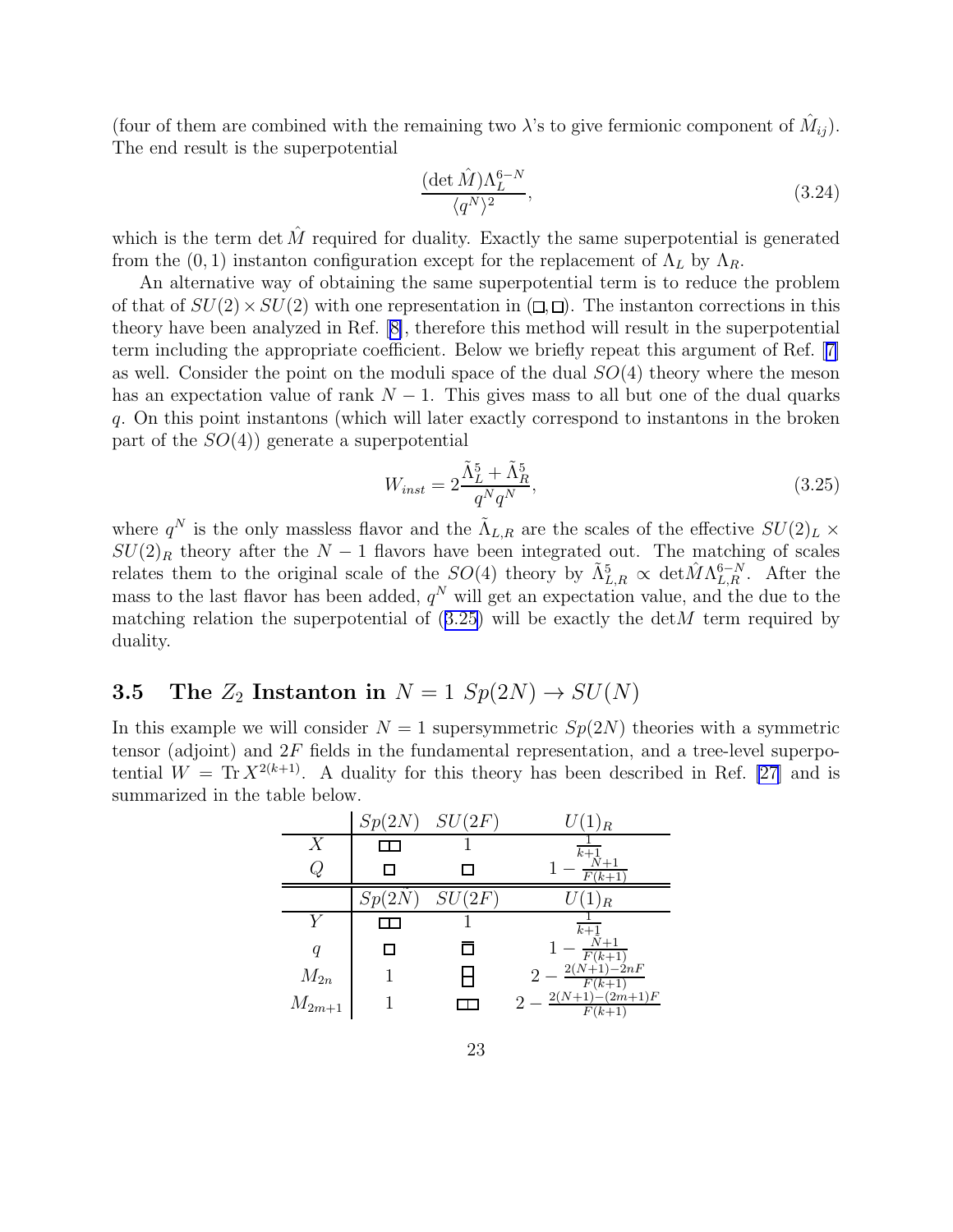<span id="page-23-0"></span>(four of them are combined with the remaining two  $\lambda$ 's to give fermionic component of  $\hat{M}_{ij}$ ). The end result is the superpotential

$$
\frac{(\det \hat{M})\Lambda_L^{6-N}}{\langle q^N \rangle^2},\tag{3.24}
$$

which is the term det  $\hat{M}$  required for duality. Exactly the same superpotential is generated from the (0, 1) instanton configuration except for the replacement of  $\Lambda_L$  by  $\Lambda_R$ .

An alternative way of obtaining the same superpotential term is to reduce the problem of that of  $SU(2) \times SU(2)$  with one representation in  $(\square, \square)$ . The instanton corrections in this theory have been analyzed in Ref.[[8\]](#page-29-0), therefore this method will result in the superpotential term including the appropriate coefficient. Below we briefly repeat this argument of Ref.[[7\]](#page-29-0) as well. Consider the point on the moduli space of the dual  $SO(4)$  theory where the meson has an expectation value of rank  $N-1$ . This gives mass to all but one of the dual quarks q. On this point instantons (which will later exactly correspond to instantons in the broken part of the  $SO(4)$  generate a superpotential

$$
W_{inst} = 2\frac{\tilde{\Lambda}_L^5 + \tilde{\Lambda}_R^5}{q^N q^N},\tag{3.25}
$$

where  $q^N$  is the only massless flavor and the  $\tilde{\Lambda}_{L,R}$  are the scales of the effective  $SU(2)_L \times$  $SU(2)_R$  theory after the  $N-1$  flavors have been integrated out. The matching of scales relates them to the original scale of the  $SO(4)$  theory by  $\tilde{\Lambda}_{L,R}^5 \propto \det \hat{M} \Lambda_{L,R}^{6-N}$ . After the mass to the last flavor has been added,  $q<sup>N</sup>$  will get an expectation value, and the due to the matching relation the superpotential of  $(3.25)$  will be exactly the detM term required by duality.

## 3.5 The  $Z_2$  Instanton in  $N = 1$   $Sp(2N) \rightarrow SU(N)$

In this example we will consider  $N = 1$  supersymmetric  $Sp(2N)$  theories with a symmetric tensor (adjoint) and  $2F$  fields in the fundamental representation, and a tree-level superpotential  $W = \text{Tr} X^{2(k+1)}$ . A duality for this theory has been described in Ref. [\[27\]](#page-30-0) and is summarized in the table below.

|                  |       | $Sp(2N)$ $SU(2F)$ | $U(1)_R$                                                 |
|------------------|-------|-------------------|----------------------------------------------------------|
| $\boldsymbol{X}$ |       |                   | $\overline{k+1}$                                         |
|                  |       |                   | $F(k+1)$                                                 |
|                  | Sp(2) | SU(2F)            | $1)_R$                                                   |
|                  |       |                   | $\overline{k+1}$                                         |
|                  |       |                   | $-\frac{\tilde{N}+1}{F(k+1)}$<br>2(N+1)-2nF              |
| $M_{2n}$         |       |                   |                                                          |
| $M_{2m+1}$       |       |                   | $\frac{2}{2} - \frac{F(k+1)}{F(k+1)(2m+1)F}$<br>$F(k+1)$ |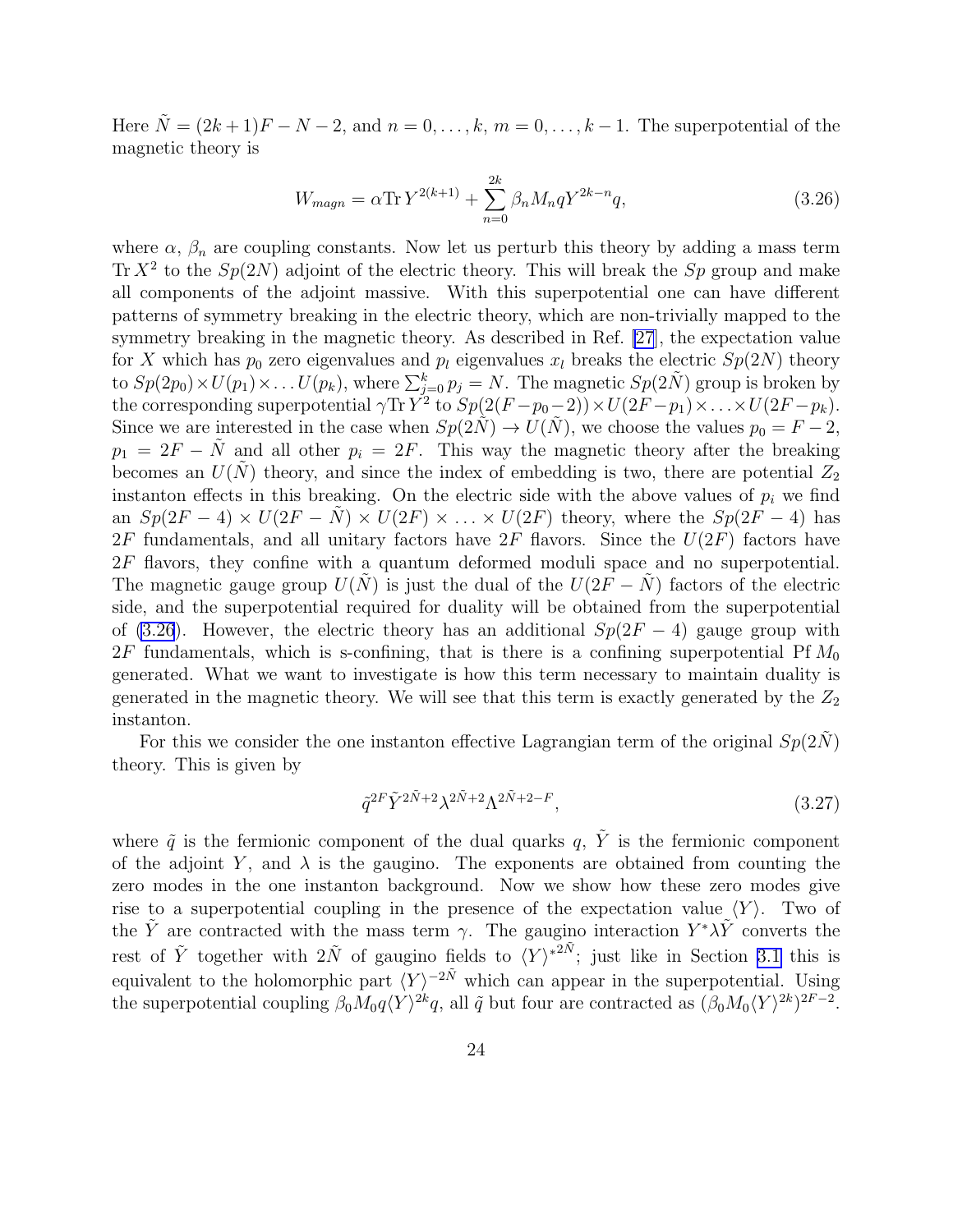Here  $\tilde{N} = (2k+1)F - N - 2$ , and  $n = 0, \ldots, k, m = 0, \ldots, k-1$ . The superpotential of the magnetic theory is

$$
W_{magn} = \alpha \text{Tr} \, Y^{2(k+1)} + \sum_{n=0}^{2k} \beta_n M_n q Y^{2k-n} q,\tag{3.26}
$$

where  $\alpha$ ,  $\beta_n$  are coupling constants. Now let us perturb this theory by adding a mass term Tr  $X^2$  to the  $Sp(2N)$  adjoint of the electric theory. This will break the Sp group and make all components of the adjoint massive. With this superpotential one can have different patterns of symmetry breaking in the electric theory, which are non-trivially mapped to the symmetry breaking in the magnetic theory. As described in Ref. [\[27](#page-30-0)], the expectation value for X which has  $p_0$  zero eigenvalues and  $p_l$  eigenvalues  $x_l$  breaks the electric  $Sp(2N)$  theory to  $Sp(2p_0) \times U(p_1) \times \ldots U(p_k)$ , where  $\sum_{j=0}^k p_j = N$ . The magnetic  $Sp(2\tilde{N})$  group is broken by the corresponding superpotential  $\gamma \text{Tr} Y^2$  to  $Sp(2(F-p_0-2)) \times U(2F-p_1) \times \ldots \times U(2F-p_k)$ . Since we are interested in the case when  $Sp(2\tilde{N}) \to U(\tilde{N})$ , we choose the values  $p_0 = F - 2$ ,  $p_1 = 2F - \tilde{N}$  and all other  $p_i = 2F$ . This way the magnetic theory after the breaking becomes an  $U(N)$  theory, and since the index of embedding is two, there are potential  $Z_2$ instanton effects in this breaking. On the electric side with the above values of  $p_i$  we find an  $Sp(2F-4) \times U(2F - N) \times U(2F) \times ... \times U(2F)$  theory, where the  $Sp(2F-4)$  has  $2F$  fundamentals, and all unitary factors have  $2F$  flavors. Since the  $U(2F)$  factors have 2F flavors, they confine with a quantum deformed moduli space and no superpotential. The magnetic gauge group  $U(N)$  is just the dual of the  $U(2F - N)$  factors of the electric side, and the superpotential required for duality will be obtained from the superpotential of (3.26). However, the electric theory has an additional  $Sp(2F-4)$  gauge group with  $2F$  fundamentals, which is s-confining, that is there is a confining superpotential Pf  $M_0$ generated. What we want to investigate is how this term necessary to maintain duality is generated in the magnetic theory. We will see that this term is exactly generated by the  $Z_2$ instanton.

For this we consider the one instanton effective Lagrangian term of the original  $Sp(2\tilde{N})$ theory. This is given by

$$
\tilde{q}^{2F}\tilde{Y}^{2\tilde{N}+2}\lambda^{2\tilde{N}+2}\Lambda^{2\tilde{N}+2-F},\tag{3.27}
$$

where  $\tilde{q}$  is the fermionic component of the dual quarks q,  $\tilde{Y}$  is the fermionic component of the adjoint Y, and  $\lambda$  is the gaugino. The exponents are obtained from counting the zero modes in the one instanton background. Now we show how these zero modes give rise to a superpotential coupling in the presence of the expectation value  $\langle Y \rangle$ . Two of the  $\tilde{Y}$  are contracted with the mass term  $\gamma$ . The gaugino interaction  $Y^*\lambda\tilde{Y}$  converts the rest of  $\tilde{Y}$  together with  $2\tilde{N}$  of gaugino fields to  $\langle Y \rangle^{*2\tilde{N}}$ ; just like in Section [3.1](#page-12-0) this is equivalent to the holomorphic part  $\langle Y \rangle^{-2\tilde{N}}$  which can appear in the superpotential. Using the superpotential coupling  $\beta_0 M_0 q \langle Y \rangle^{2k} q$ , all  $\tilde{q}$  but four are contracted as  $(\beta_0 M_0 \langle Y \rangle^{2k})^{2F-2}$ .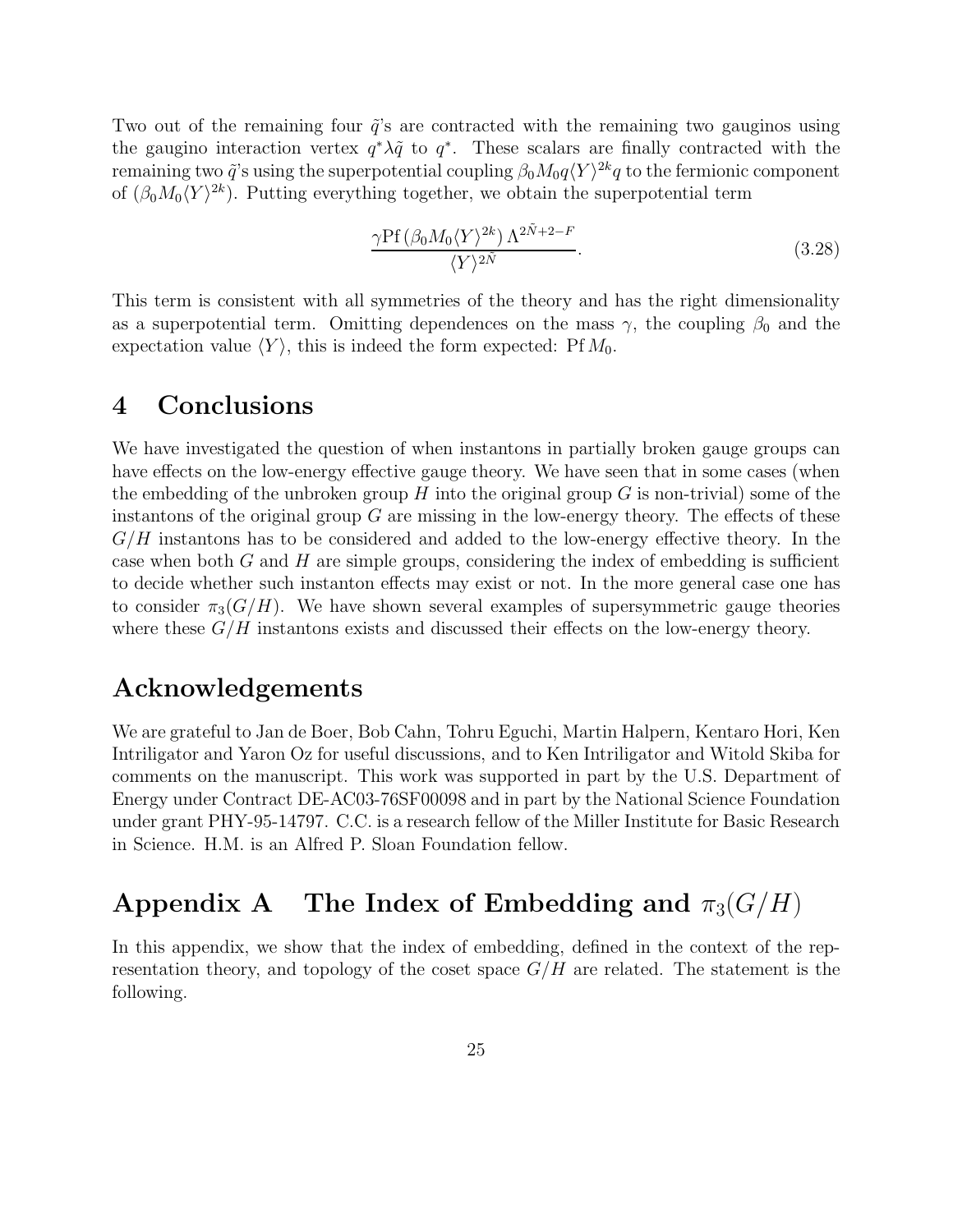Two out of the remaining four  $\tilde{q}$ 's are contracted with the remaining two gauginos using the gaugino interaction vertex  $q^*\lambda\tilde{q}$  to  $q^*$ . These scalars are finally contracted with the remaining two  $\tilde{q}$ 's using the superpotential coupling  $\beta_0 M_0 q \langle Y \rangle^{2k} q$  to the fermionic component of  $(\beta_0 M_0 \langle Y \rangle^{2k})$ . Putting everything together, we obtain the superpotential term

$$
\frac{\gamma \text{Pf}\left(\beta_0 M_0 \langle Y \rangle^{2k}\right) \Lambda^{2\tilde{N}+2-F}}{\langle Y \rangle^{2\tilde{N}}}.
$$
\n(3.28)

This term is consistent with all symmetries of the theory and has the right dimensionality as a superpotential term. Omitting dependences on the mass  $\gamma$ , the coupling  $\beta_0$  and the expectation value  $\langle Y \rangle$ , this is indeed the form expected: Pf  $M_0$ .

## 4 Conclusions

We have investigated the question of when instantons in partially broken gauge groups can have effects on the low-energy effective gauge theory. We have seen that in some cases (when the embedding of the unbroken group  $H$  into the original group  $G$  is non-trivial) some of the instantons of the original group  $G$  are missing in the low-energy theory. The effects of these  $G/H$  instantons has to be considered and added to the low-energy effective theory. In the case when both G and H are simple groups, considering the index of embedding is sufficient to decide whether such instanton effects may exist or not. In the more general case one has to consider  $\pi_3(G/H)$ . We have shown several examples of supersymmetric gauge theories where these  $G/H$  instantons exists and discussed their effects on the low-energy theory.

## Acknowledgements

We are grateful to Jan de Boer, Bob Cahn, Tohru Eguchi, Martin Halpern, Kentaro Hori, Ken Intriligator and Yaron Oz for useful discussions, and to Ken Intriligator and Witold Skiba for comments on the manuscript. This work was supported in part by the U.S. Department of Energy under Contract DE-AC03-76SF00098 and in part by the National Science Foundation under grant PHY-95-14797. C.C. is a research fellow of the Miller Institute for Basic Research in Science. H.M. is an Alfred P. Sloan Foundation fellow.

# Appendix A The Index of Embedding and  $\pi_3(G/H)$

In this appendix, we show that the index of embedding, defined in the context of the representation theory, and topology of the coset space  $G/H$  are related. The statement is the following.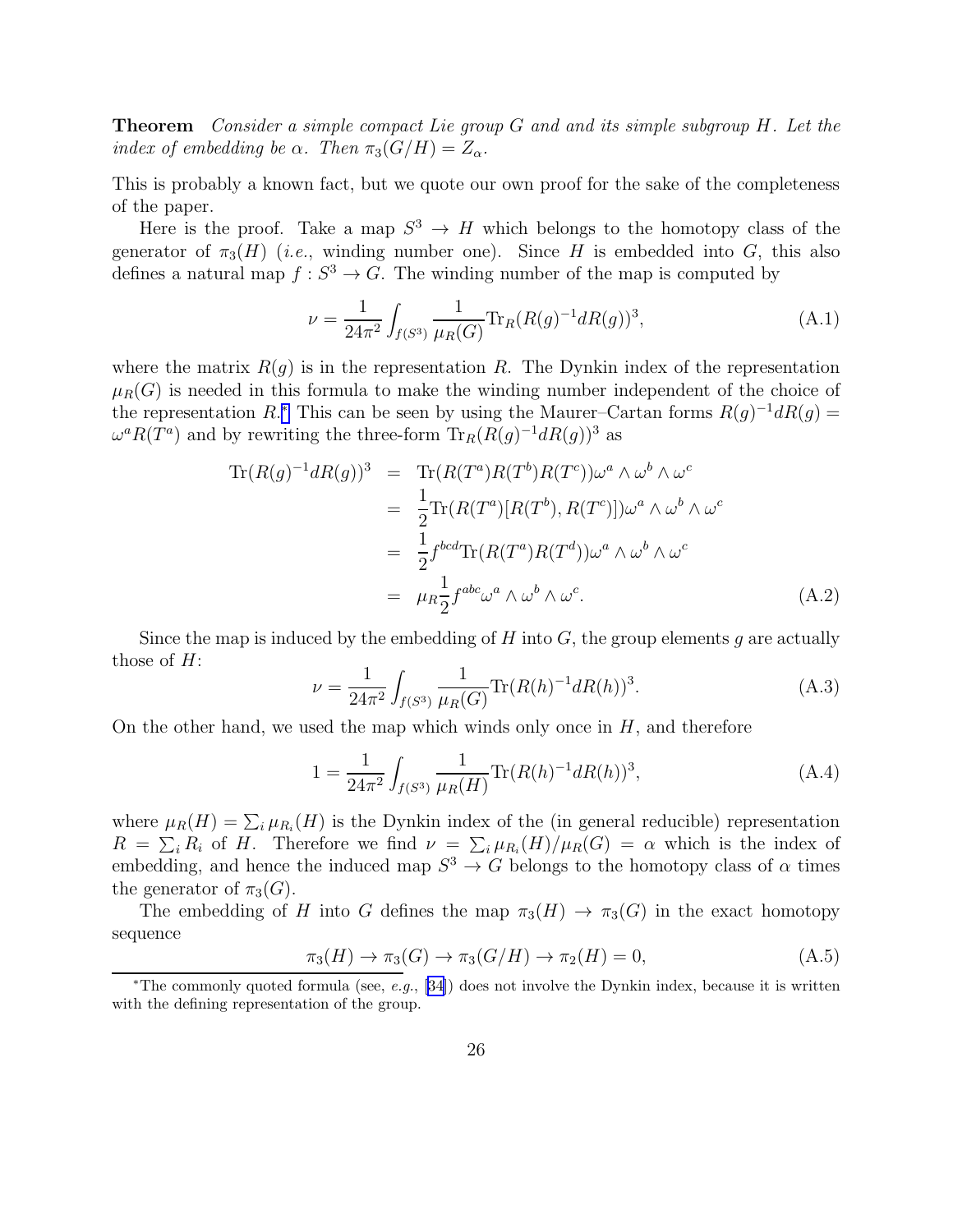Theorem Consider a simple compact Lie group G and and its simple subgroup H. Let the index of embedding be  $\alpha$ . Then  $\pi_3(G/H) = Z_{\alpha}$ .

This is probably a known fact, but we quote our own proof for the sake of the completeness of the paper.

Here is the proof. Take a map  $S^3 \to H$  which belongs to the homotopy class of the generator of  $\pi_3(H)$  (i.e., winding number one). Since H is embedded into G, this also defines a natural map  $f: S^3 \to G$ . The winding number of the map is computed by

$$
\nu = \frac{1}{24\pi^2} \int_{f(S^3)} \frac{1}{\mu_R(G)} \text{Tr}_R(R(g)^{-1} dR(g))^3,
$$
\n(A.1)

where the matrix  $R(g)$  is in the representation R. The Dynkin index of the representation  $\mu_R(G)$  is needed in this formula to make the winding number independent of the choice of the representation R.<sup>\*</sup> This can be seen by using the Maurer–Cartan forms  $R(g)^{-1}dR(g) =$  $\omega^a R(T^a)$  and by rewriting the three-form  $\text{Tr}_R(R(g)^{-1} dR(g))^3$  as

$$
\text{Tr}(R(g)^{-1}dR(g))^3 = \text{Tr}(R(T^a)R(T^b)R(T^c))\omega^a \wedge \omega^b \wedge \omega^c
$$
  
\n
$$
= \frac{1}{2}\text{Tr}(R(T^a)[R(T^b), R(T^c)])\omega^a \wedge \omega^b \wedge \omega^c
$$
  
\n
$$
= \frac{1}{2}f^{bcd}\text{Tr}(R(T^a)R(T^d))\omega^a \wedge \omega^b \wedge \omega^c
$$
  
\n
$$
= \mu_R \frac{1}{2}f^{abc}\omega^a \wedge \omega^b \wedge \omega^c.
$$
 (A.2)

Since the map is induced by the embedding of  $H$  into  $G$ , the group elements g are actually those of  $H$ :

$$
\nu = \frac{1}{24\pi^2} \int_{f(S^3)} \frac{1}{\mu_R(G)} \text{Tr}(R(h)^{-1} dR(h))^3.
$$
 (A.3)

On the other hand, we used the map which winds only once in  $H$ , and therefore

$$
1 = \frac{1}{24\pi^2} \int_{f(S^3)} \frac{1}{\mu_R(H)} \text{Tr}(R(h)^{-1} dR(h))^3,
$$
\n(A.4)

where  $\mu_R(H) = \sum_i \mu_{R_i}(H)$  is the Dynkin index of the (in general reducible) representation  $R = \sum_i R_i$  of H. Therefore we find  $\nu = \sum_i \mu_{R_i}(H)/\mu_R(G) = \alpha$  which is the index of embedding, and hence the induced map  $S^3 \to G$  belongs to the homotopy class of  $\alpha$  times the generator of  $\pi_3(G)$ .

The embedding of H into G defines the map  $\pi_3(H) \to \pi_3(G)$  in the exact homotopy sequence

$$
\pi_3(H) \to \pi_3(G) \to \pi_3(G/H) \to \pi_2(H) = 0,
$$
\n(A.5)

<sup>∗</sup>The commonly quoted formula (see, e.g., [\[34](#page-31-0)]) does not involve the Dynkin index, because it is written with the defining representation of the group.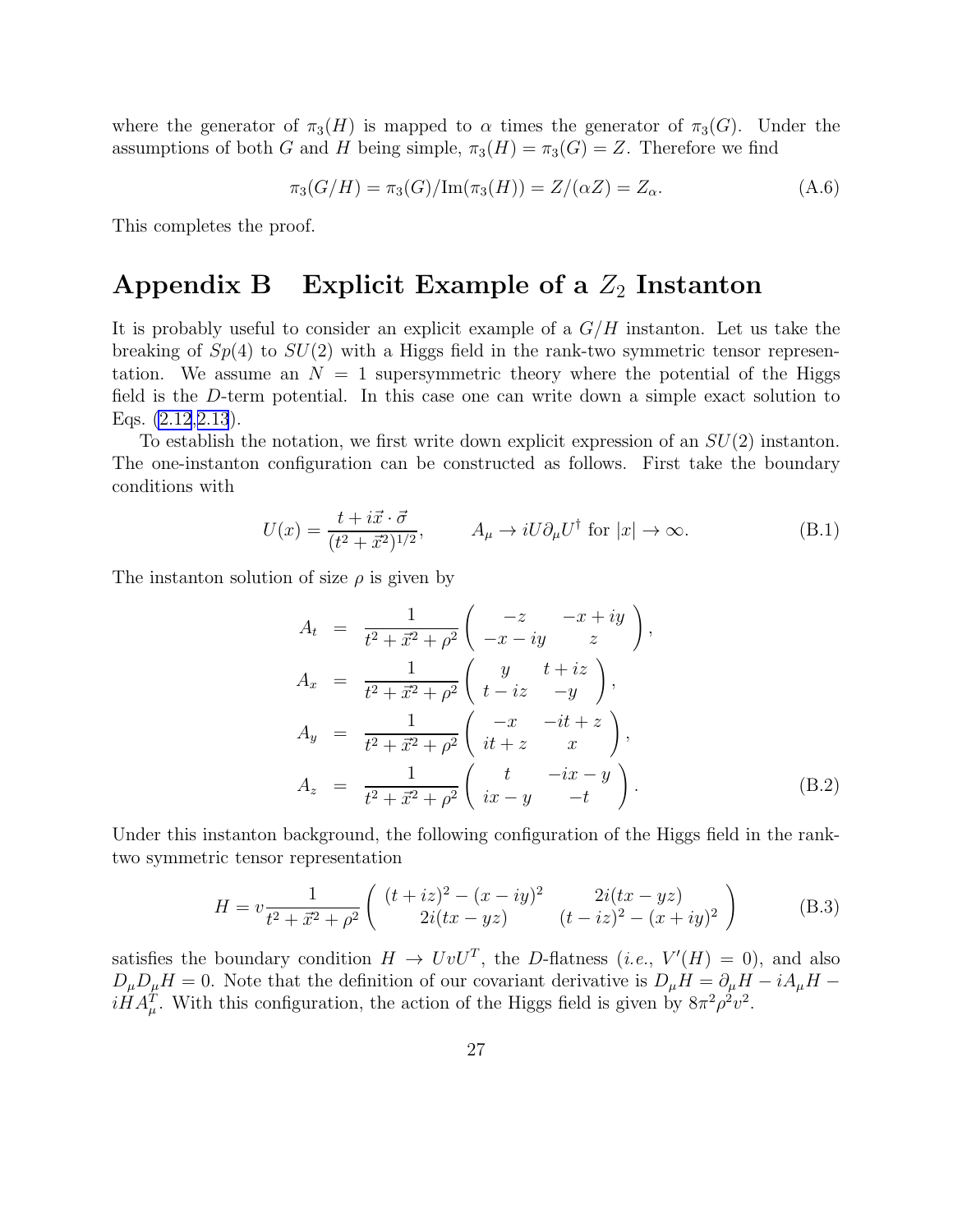<span id="page-27-0"></span>where the generator of  $\pi_3(H)$  is mapped to  $\alpha$  times the generator of  $\pi_3(G)$ . Under the assumptions of both G and H being simple,  $\pi_3(H) = \pi_3(G) = Z$ . Therefore we find

$$
\pi_3(G/H) = \pi_3(G)/\text{Im}(\pi_3(H)) = Z/(\alpha Z) = Z_\alpha.
$$
 (A.6)

This completes the proof.

## Appendix B Explicit Example of a  $Z_2$  Instanton

It is probably useful to consider an explicit example of a  $G/H$  instanton. Let us take the breaking of  $Sp(4)$  to  $SU(2)$  with a Higgs field in the rank-two symmetric tensor representation. We assume an  $N = 1$  supersymmetric theory where the potential of the Higgs field is the D-term potential. In this case one can write down a simple exact solution to Eqs. [\(2.12](#page-8-0),[2.13](#page-8-0)).

To establish the notation, we first write down explicit expression of an  $SU(2)$  instanton. The one-instanton configuration can be constructed as follows. First take the boundary conditions with

$$
U(x) = \frac{t + i\vec{x} \cdot \vec{\sigma}}{(t^2 + \vec{x}^2)^{1/2}}, \qquad A_{\mu} \to iU \partial_{\mu} U^{\dagger} \text{ for } |x| \to \infty.
$$
 (B.1)

The instanton solution of size  $\rho$  is given by

$$
A_{t} = \frac{1}{t^{2} + \vec{x}^{2} + \rho^{2}} \begin{pmatrix} -z & -x + iy \\ -x - iy & z \end{pmatrix},
$$
  
\n
$$
A_{x} = \frac{1}{t^{2} + \vec{x}^{2} + \rho^{2}} \begin{pmatrix} y & t + iz \\ t - iz & -y \end{pmatrix},
$$
  
\n
$$
A_{y} = \frac{1}{t^{2} + \vec{x}^{2} + \rho^{2}} \begin{pmatrix} -x & -it + z \\ it + z & x \end{pmatrix},
$$
  
\n
$$
A_{z} = \frac{1}{t^{2} + \vec{x}^{2} + \rho^{2}} \begin{pmatrix} t & -ix - y \\ ix - y & -t \end{pmatrix}.
$$
 (B.2)

Under this instanton background, the following configuration of the Higgs field in the ranktwo symmetric tensor representation

$$
H = v \frac{1}{t^2 + \vec{x}^2 + \rho^2} \begin{pmatrix} (t + iz)^2 - (x - iy)^2 & 2i(tx - yz) \\ 2i(tx - yz) & (t - iz)^2 - (x + iy)^2 \end{pmatrix}
$$
 (B.3)

satisfies the boundary condition  $H \to UvU^T$ , the D-flatness (*i.e.*,  $V'(H) = 0$ ), and also  $D_{\mu}D_{\mu}H = 0$ . Note that the definition of our covariant derivative is  $D_{\mu}H = \partial_{\mu}H - iA_{\mu}H$  $iHA_{\mu}^{T}$ . With this configuration, the action of the Higgs field is given by  $8\pi^{2}\rho^{2}v^{2}$ .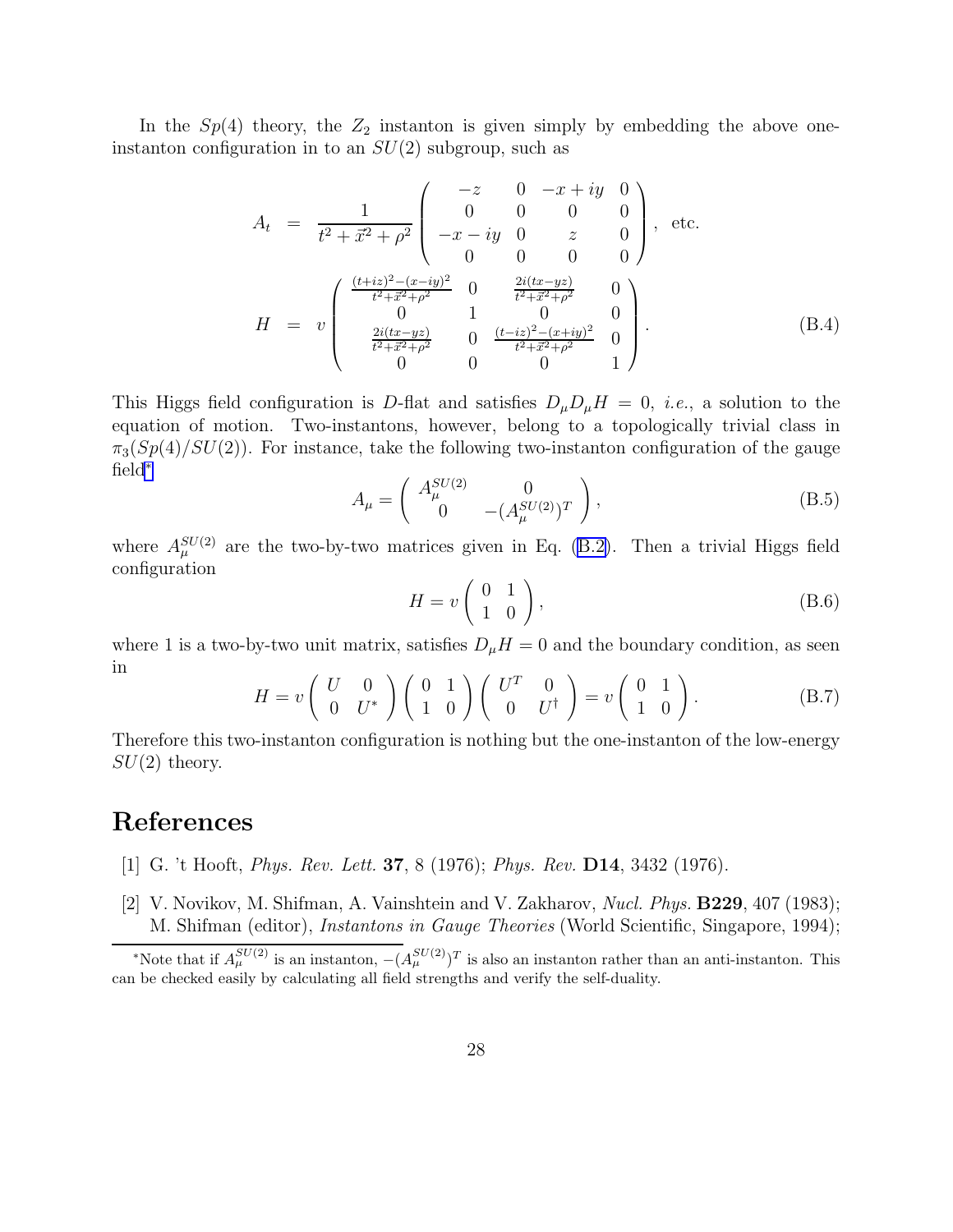<span id="page-28-0"></span>In the  $Sp(4)$  theory, the  $Z_2$  instanton is given simply by embedding the above oneinstanton configuration in to an  $SU(2)$  subgroup, such as

$$
A_{t} = \frac{1}{t^{2} + \vec{x}^{2} + \rho^{2}} \begin{pmatrix} -z & 0 & -x + iy & 0 \\ 0 & 0 & 0 & 0 \\ -x - iy & 0 & z & 0 \\ 0 & 0 & 0 & 0 \end{pmatrix}, \text{ etc.}
$$
  
\n
$$
H = v \begin{pmatrix} \frac{(t+iz)^{2} - (x-iy)^{2}}{t^{2} + \vec{x}^{2} + \rho^{2}} & 0 & \frac{2i(tx - yz)}{t^{2} + \vec{x}^{2} + \rho^{2}} & 0 \\ 0 & 1 & 0 & 0 \\ \frac{2i(tx - yz)}{t^{2} + \vec{x}^{2} + \rho^{2}} & 0 & \frac{(t-iz)^{2} - (x+iy)^{2}}{t^{2} + \vec{x}^{2} + \rho^{2}} & 0 \\ 0 & 0 & 0 & 1 \end{pmatrix}.
$$
 (B.4)

This Higgs field configuration is D-flat and satisfies  $D_{\mu}D_{\mu}H = 0$ , *i.e.*, a solution to the equation of motion. Two-instantons, however, belong to a topologically trivial class in  $\pi_3(Sp(4)/SU(2))$ . For instance, take the following two-instanton configuration of the gauge field<sup>∗</sup>

$$
A_{\mu} = \begin{pmatrix} A_{\mu}^{SU(2)} & 0 \\ 0 & -(A_{\mu}^{SU(2)})^T \end{pmatrix},
$$
 (B.5)

where  $A_\mu^{SU(2)}$  are the two-by-two matrices given in Eq. [\(B.2\)](#page-27-0). Then a trivial Higgs field configuration

$$
H = v \left( \begin{array}{cc} 0 & 1 \\ 1 & 0 \end{array} \right), \tag{B.6}
$$

where 1 is a two-by-two unit matrix, satisfies  $D_{\mu}H = 0$  and the boundary condition, as seen in

$$
H = v \begin{pmatrix} U & 0 \\ 0 & U^* \end{pmatrix} \begin{pmatrix} 0 & 1 \\ 1 & 0 \end{pmatrix} \begin{pmatrix} U^T & 0 \\ 0 & U^{\dagger} \end{pmatrix} = v \begin{pmatrix} 0 & 1 \\ 1 & 0 \end{pmatrix}.
$$
 (B.7)

Therefore this two-instanton configuration is nothing but the one-instanton of the low-energy  $SU(2)$  theory.

## References

- [1] G. 't Hooft, Phys. Rev. Lett. 37, 8 (1976); Phys. Rev. D14, 3432 (1976).
- [2] V. Novikov, M. Shifman, A. Vainshtein and V. Zakharov, Nucl. Phys. B229, 407 (1983); M. Shifman (editor), Instantons in Gauge Theories (World Scientific, Singapore, 1994);

<sup>\*</sup>Note that if  $A_\mu^{SU(2)}$  is an instanton,  $-(A_\mu^{SU(2)})^T$  is also an instanton rather than an anti-instanton. This can be checked easily by calculating all field strengths and verify the self-duality.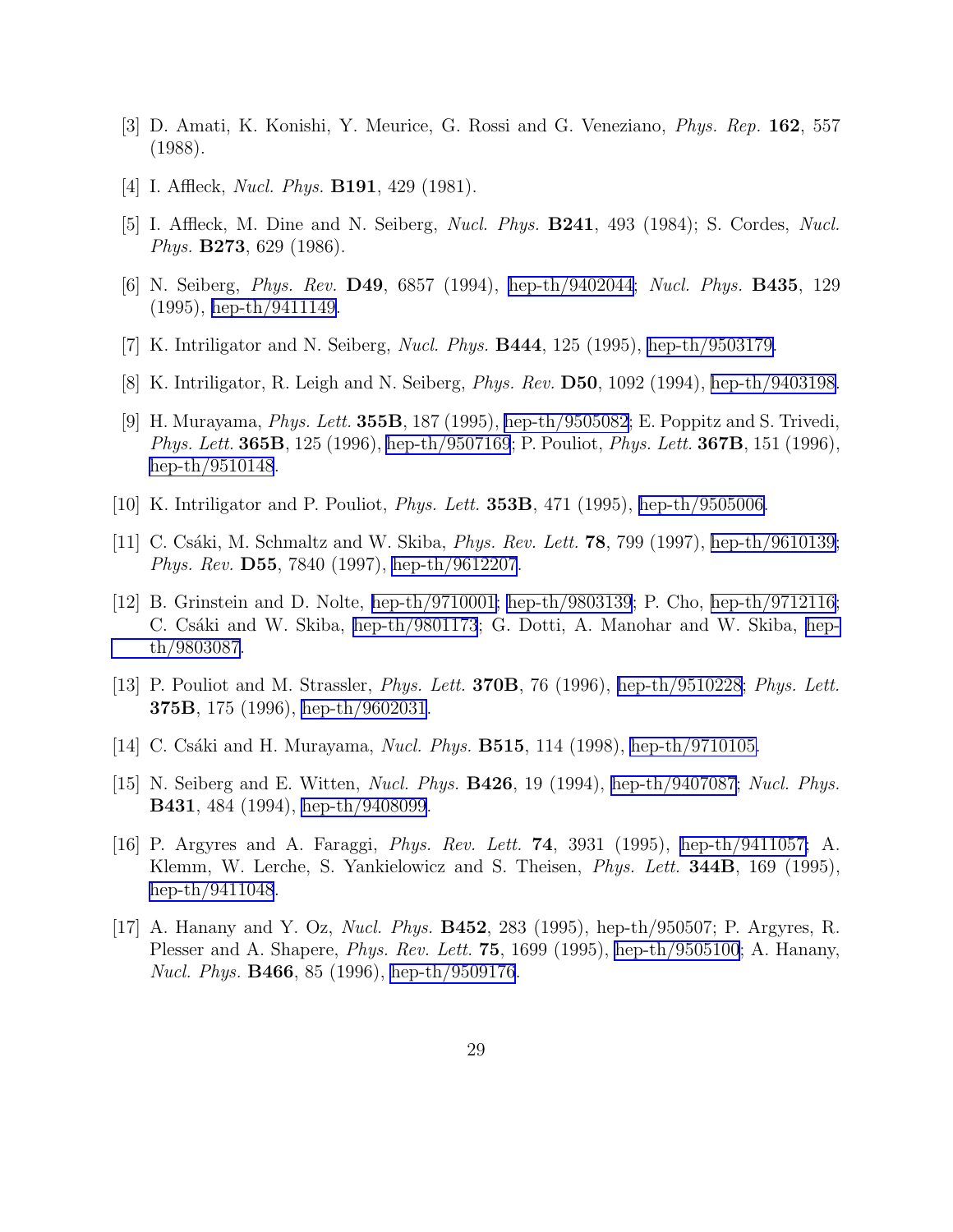- <span id="page-29-0"></span>[3] D. Amati, K. Konishi, Y. Meurice, G. Rossi and G. Veneziano, Phys. Rep. 162, 557 (1988).
- [4] I. Affleck, *Nucl. Phys.* **B191**, 429 (1981).
- [5] I. Affleck, M. Dine and N. Seiberg, Nucl. Phys. B241, 493 (1984); S. Cordes, Nucl. Phys. B273, 629 (1986).
- [6] N. Seiberg, Phys. Rev. D49, 6857 (1994), [hep-th/9402044](http://arxiv.org/abs/hep-th/9402044); Nucl. Phys. B435, 129 (1995), [hep-th/9411149.](http://arxiv.org/abs/hep-th/9411149)
- [7] K. Intriligator and N. Seiberg, Nucl. Phys. B444, 125 (1995), [hep-th/9503179.](http://arxiv.org/abs/hep-th/9503179)
- [8] K. Intriligator, R. Leigh and N. Seiberg, Phys. Rev. D50, 1092 (1994), [hep-th/9403198.](http://arxiv.org/abs/hep-th/9403198)
- [9] H. Murayama, Phys. Lett. 355B, 187 (1995), [hep-th/9505082](http://arxiv.org/abs/hep-th/9505082); E. Poppitz and S. Trivedi, Phys. Lett. **365B**, 125 (1996), [hep-th/9507169](http://arxiv.org/abs/hep-th/9507169); P. Pouliot, *Phys. Lett.* **367B**, 151 (1996), [hep-th/9510148](http://arxiv.org/abs/hep-th/9510148).
- [10] K. Intriligator and P. Pouliot, Phys. Lett. 353B, 471 (1995), [hep-th/9505006.](http://arxiv.org/abs/hep-th/9505006)
- [11] C. Csáki, M. Schmaltz and W. Skiba, *Phys. Rev. Lett.* **78**, 799 (1997), [hep-th/9610139;](http://arxiv.org/abs/hep-th/9610139) Phys. Rev. D55, 7840 (1997), [hep-th/9612207](http://arxiv.org/abs/hep-th/9612207).
- [12] B. Grinstein and D. Nolte, [hep-th/9710001;](http://arxiv.org/abs/hep-th/9710001) [hep-th/9803139](http://arxiv.org/abs/hep-th/9803139); P. Cho, [hep-th/9712116;](http://arxiv.org/abs/hep-th/9712116) C. Csáki and W. Skiba, [hep-th/9801173](http://arxiv.org/abs/hep-th/9801173); G. Dotti, A. Manohar and W. Skiba, [hep](http://arxiv.org/abs/hep-th/9803087)[th/9803087](http://arxiv.org/abs/hep-th/9803087).
- [13] P. Pouliot and M. Strassler, Phys. Lett. 370B, 76 (1996), [hep-th/9510228;](http://arxiv.org/abs/hep-th/9510228) Phys. Lett. 375B, 175 (1996), [hep-th/9602031](http://arxiv.org/abs/hep-th/9602031).
- [14] C. Csáki and H. Murayama, *Nucl. Phys.* **B515**, 114 (1998), [hep-th/9710105.](http://arxiv.org/abs/hep-th/9710105)
- [15] N. Seiberg and E. Witten, *Nucl. Phys.* **B426**, 19 (1994), [hep-th/9407087](http://arxiv.org/abs/hep-th/9407087); *Nucl. Phys.* B431, 484 (1994), [hep-th/9408099](http://arxiv.org/abs/hep-th/9408099).
- [16] P. Argyres and A. Faraggi, Phys. Rev. Lett. 74, 3931 (1995), [hep-th/9411057;](http://arxiv.org/abs/hep-th/9411057) A. Klemm, W. Lerche, S. Yankielowicz and S. Theisen, *Phys. Lett.* **344B**, 169 (1995), [hep-th/9411048](http://arxiv.org/abs/hep-th/9411048).
- [17] A. Hanany and Y. Oz, Nucl. Phys. B452, 283 (1995), hep-th/950507; P. Argyres, R. Plesser and A. Shapere, *Phys. Rev. Lett.* **75**, 1699 (1995), [hep-th/9505100](http://arxiv.org/abs/hep-th/9505100); A. Hanany, Nucl. Phys. **B466**, 85 (1996), [hep-th/9509176](http://arxiv.org/abs/hep-th/9509176).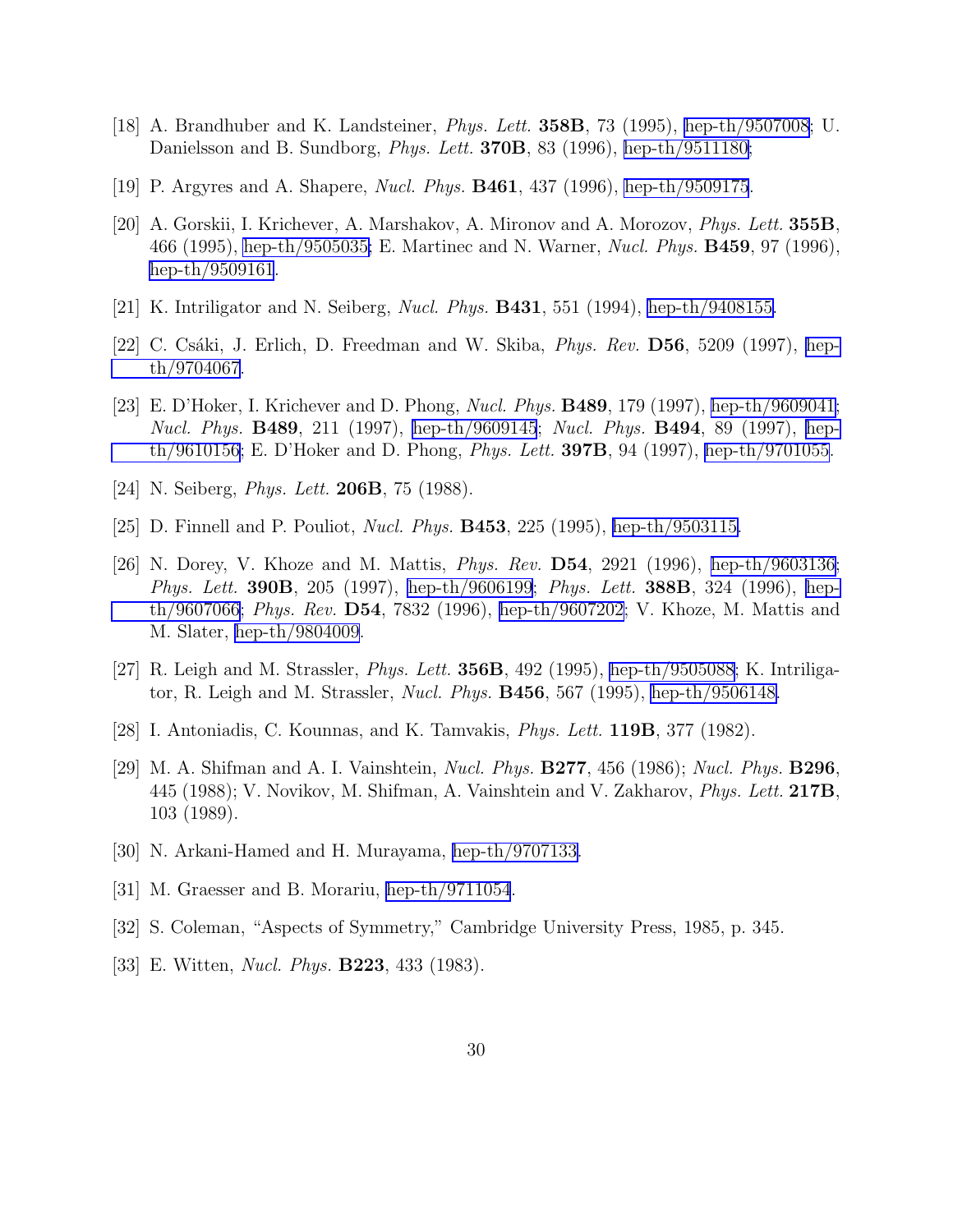- <span id="page-30-0"></span>[18] A. Brandhuber and K. Landsteiner, Phys. Lett. 358B, 73 (1995), [hep-th/9507008](http://arxiv.org/abs/hep-th/9507008); U. Danielsson and B. Sundborg, *Phys. Lett.* **370B**, 83 (1996), [hep-th/9511180;](http://arxiv.org/abs/hep-th/9511180)
- [19] P. Argyres and A. Shapere, Nucl. Phys. B461, 437 (1996), [hep-th/9509175](http://arxiv.org/abs/hep-th/9509175).
- [20] A. Gorskii, I. Krichever, A. Marshakov, A. Mironov and A. Morozov, Phys. Lett. 355B, 466 (1995), [hep-th/9505035;](http://arxiv.org/abs/hep-th/9505035) E. Martinec and N. Warner, Nucl. Phys. B459, 97 (1996), [hep-th/9509161](http://arxiv.org/abs/hep-th/9509161).
- [21] K. Intriligator and N. Seiberg, Nucl. Phys. B431, 551 (1994), [hep-th/9408155.](http://arxiv.org/abs/hep-th/9408155)
- [22] C. Csáki, J. Erlich, D. Freedman and W. Skiba, *Phys. Rev.* **D56**, 5209 (1997), [hep](http://arxiv.org/abs/hep-th/9704067)[th/9704067](http://arxiv.org/abs/hep-th/9704067).
- [23] E. D'Hoker, I. Krichever and D. Phong, Nucl. Phys. B489, 179 (1997), [hep-th/9609041;](http://arxiv.org/abs/hep-th/9609041) Nucl. Phys. **B489**, 211 (1997), [hep-th/9609145](http://arxiv.org/abs/hep-th/9609145); Nucl. Phys. **B494**, 89 (1997), [hep](http://arxiv.org/abs/hep-th/9610156)[th/9610156](http://arxiv.org/abs/hep-th/9610156); E. D'Hoker and D. Phong, *Phys. Lett.* **397B**, 94 (1997), [hep-th/9701055](http://arxiv.org/abs/hep-th/9701055).
- [24] N. Seiberg, *Phys. Lett.* **206B**, 75 (1988).
- [25] D. Finnell and P. Pouliot, Nucl. Phys. B453, 225 (1995), [hep-th/9503115.](http://arxiv.org/abs/hep-th/9503115)
- [26] N. Dorey, V. Khoze and M. Mattis, Phys. Rev. D54, 2921 (1996), [hep-th/9603136;](http://arxiv.org/abs/hep-th/9603136) Phys. Lett. **390B**, 205 (1997), [hep-th/9606199](http://arxiv.org/abs/hep-th/9606199); Phys. Lett. **388B**, 324 (1996), [hep](http://arxiv.org/abs/hep-th/9607066)[th/9607066](http://arxiv.org/abs/hep-th/9607066); Phys. Rev. D54, 7832 (1996), [hep-th/9607202;](http://arxiv.org/abs/hep-th/9607202) V. Khoze, M. Mattis and M. Slater, [hep-th/9804009](http://arxiv.org/abs/hep-th/9804009).
- [27] R. Leigh and M. Strassler, Phys. Lett. 356B, 492 (1995), [hep-th/9505088](http://arxiv.org/abs/hep-th/9505088); K. Intriligator, R. Leigh and M. Strassler, Nucl. Phys. B456, 567 (1995), [hep-th/9506148.](http://arxiv.org/abs/hep-th/9506148)
- [28] I. Antoniadis, C. Kounnas, and K. Tamvakis, Phys. Lett. 119B, 377 (1982).
- [29] M. A. Shifman and A. I. Vainshtein, *Nucl. Phys.* **B277**, 456 (1986); *Nucl. Phys.* **B296**, 445 (1988); V. Novikov, M. Shifman, A. Vainshtein and V. Zakharov, *Phys. Lett.* 217B, 103 (1989).
- [30] N. Arkani-Hamed and H. Murayama, [hep-th/9707133.](http://arxiv.org/abs/hep-th/9707133)
- [31] M. Graesser and B. Morariu, [hep-th/9711054](http://arxiv.org/abs/hep-th/9711054).
- [32] S. Coleman, "Aspects of Symmetry," Cambridge University Press, 1985, p. 345.
- [33] E. Witten, *Nucl. Phys.* **B223**, 433 (1983).